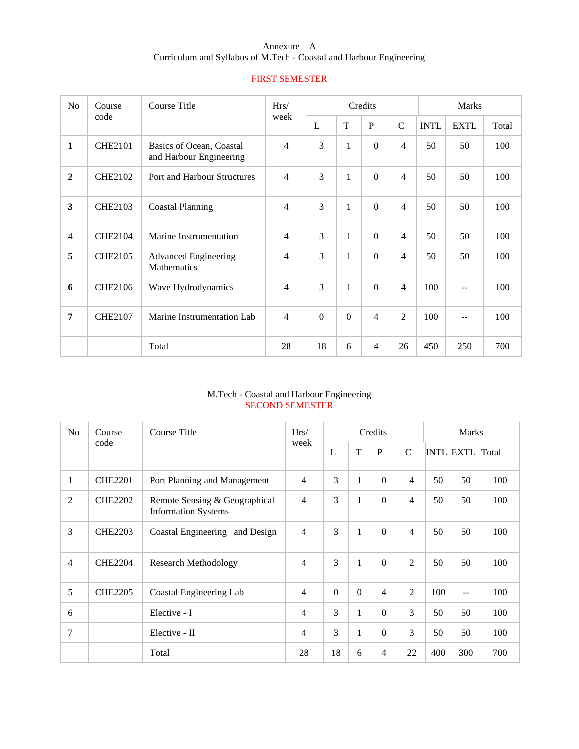# Annexure – A Curriculum and Syllabus of M.Tech - Coastal and Harbour Engineering

| N <sub>o</sub>          | Course         | Course Title                                        | Hrs/           | Credits        |              |                          |                          | Marks       |             |       |  |
|-------------------------|----------------|-----------------------------------------------------|----------------|----------------|--------------|--------------------------|--------------------------|-------------|-------------|-------|--|
|                         | code           |                                                     | week           | L              | T            | $\mathbf P$              | $\overline{C}$           | <b>INTL</b> | <b>EXTL</b> | Total |  |
| $\mathbf{1}$            | <b>CHE2101</b> | Basics of Ocean, Coastal<br>and Harbour Engineering | 4              | 3              | $\mathbf{1}$ | $\Omega$                 | $\overline{\mathcal{L}}$ | 50          | 50          | 100   |  |
| $\overline{2}$          | <b>CHE2102</b> | <b>Port and Harbour Structures</b>                  | $\overline{4}$ | 3              | $\mathbf{1}$ | $\Omega$                 | $\overline{\mathcal{L}}$ | 50          | 50          | 100   |  |
| $\overline{\mathbf{3}}$ | <b>CHE2103</b> | <b>Coastal Planning</b>                             | 4              | 3              | $\mathbf{1}$ | $\Omega$                 | $\overline{\mathcal{L}}$ | 50          | 50          | 100   |  |
| $\overline{4}$          | <b>CHE2104</b> | Marine Instrumentation                              | $\overline{4}$ | 3              | $\mathbf{1}$ | $\Omega$                 | $\overline{4}$           | 50          | 50          | 100   |  |
| 5                       | <b>CHE2105</b> | <b>Advanced Engineering</b><br>Mathematics          | 4              | 3              | $\mathbf{1}$ | $\Omega$                 | 4                        | 50          | 50          | 100   |  |
| 6                       | <b>CHE2106</b> | Wave Hydrodynamics                                  | 4              | 3              | $\mathbf{1}$ | $\Omega$                 | $\overline{4}$           | 100         | $-1$        | 100   |  |
| $\overline{7}$          | <b>CHE2107</b> | Marine Instrumentation Lab                          | $\overline{4}$ | $\overline{0}$ | $\theta$     | $\overline{\mathcal{A}}$ | $\overline{2}$           | 100         | --          | 100   |  |
|                         |                | Total                                               | 28             | 18             | 6            | 4                        | 26                       | 450         | 250         | 700   |  |

# FIRST SEMESTER

# M.Tech - Coastal and Harbour Engineering SECOND SEMESTER

| N <sub>o</sub> | Course         | Course Title                                                | Hrs/           |          |                | Credits        |                | <b>Marks</b> |                        |     |  |
|----------------|----------------|-------------------------------------------------------------|----------------|----------|----------------|----------------|----------------|--------------|------------------------|-----|--|
|                | code           |                                                             | week           | L        | T              | $\mathbf{P}$   | $\mathcal{C}$  |              | <b>INTL EXTL Total</b> |     |  |
| $\mathbf{1}$   | <b>CHE2201</b> | Port Planning and Management                                | $\overline{4}$ | 3        | 1              | $\Omega$       | $\overline{4}$ | 50           | 50                     | 100 |  |
| $\overline{2}$ | <b>CHE2202</b> | Remote Sensing & Geographical<br><b>Information Systems</b> | 4              | 3        | $\mathbf{1}$   | $\Omega$       | $\overline{4}$ | 50           | 50                     | 100 |  |
| 3              | <b>CHE2203</b> | Coastal Engineering and Design                              | $\overline{4}$ | 3        | $\mathbf{1}$   | $\Omega$       | $\overline{4}$ | 50           | 50                     | 100 |  |
| 4              | <b>CHE2204</b> | <b>Research Methodology</b>                                 | 4              | 3        | $\mathbf{1}$   | $\Omega$       | 2              | 50           | 50                     | 100 |  |
| 5              | <b>CHE2205</b> | Coastal Engineering Lab                                     | 4              | $\theta$ | $\overline{0}$ | $\overline{4}$ | $\mathfrak{D}$ | 100          | $-$                    | 100 |  |
| 6              |                | Elective - I                                                | $\overline{4}$ | 3        | 1              | $\overline{0}$ | 3              | 50           | 50                     | 100 |  |
| 7              |                | Elective - II                                               | 4              | 3        | 1              | $\Omega$       | 3              | 50           | 50                     | 100 |  |
|                |                | Total                                                       | 28             | 18       | 6              | $\overline{4}$ | 22             | 400          | 300                    | 700 |  |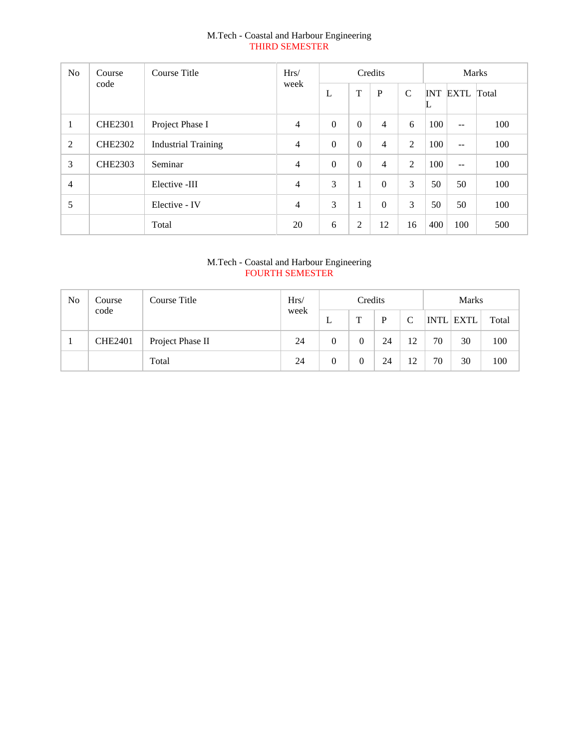# M.Tech - Coastal and Harbour Engineering THIRD SEMESTER

| N <sub>0</sub> | Course         | Course Title               | Hrs/           | Credits          |                |                |                 | <b>Marks</b> |              |     |  |
|----------------|----------------|----------------------------|----------------|------------------|----------------|----------------|-----------------|--------------|--------------|-----|--|
|                | code<br>week   | L                          | T              | P                | $\mathcal{C}$  | ┗              | <b>INT EXTL</b> | Total        |              |     |  |
| $\mathbf{1}$   | <b>CHE2301</b> | Project Phase I            | $\overline{4}$ | $\Omega$         | $\theta$       | $\overline{4}$ | 6               | 100          | $\mathbf{u}$ | 100 |  |
| 2              | <b>CHE2302</b> | <b>Industrial Training</b> | $\overline{4}$ | $\boldsymbol{0}$ | $\overline{0}$ | $\overline{4}$ | 2               | 100          | $\sim$ $-$   | 100 |  |
| 3              | <b>CHE2303</b> | Seminar                    | $\overline{4}$ | $\Omega$         | $\Omega$       | 4              | 2               | 100          | $\sim$ $-$   | 100 |  |
| $\overline{4}$ |                | Elective -III              | $\overline{4}$ | 3                |                | $\Omega$       | 3               | 50           | 50           | 100 |  |
| 5              |                | Elective - IV              | $\overline{4}$ | 3                |                | $\mathbf{0}$   | 3               | 50           | 50           | 100 |  |
|                |                | Total                      | 20             | 6                | 2              | 12             | 16              | 400          | 100          | 500 |  |

# M.Tech - Coastal and Harbour Engineering FOURTH SEMESTER

| No | Course         | Course Title     | Hrs/ |          | Credits     |    |               |    | <b>Marks</b>     |       |
|----|----------------|------------------|------|----------|-------------|----|---------------|----|------------------|-------|
|    | code           |                  | week | ┶        | $\mathbf T$ | Þ  | $\mathcal{C}$ |    | <b>INTL EXTL</b> | Total |
|    | <b>CHE2401</b> | Project Phase II | 24   | $\theta$ |             | 24 | 12            | 70 | 30               | 100   |
|    |                | Total            | 24   | $\theta$ |             | 24 | 12            | 70 | 30               | 100   |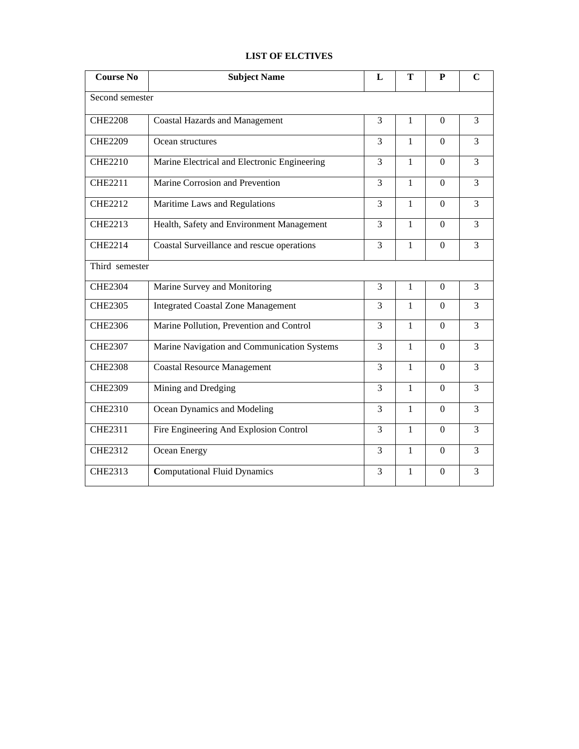# **LIST OF ELCTIVES**

| <b>Course No</b> | <b>Subject Name</b>                          | L              | T            | ${\bf P}$      | $\mathbf C$    |  |  |
|------------------|----------------------------------------------|----------------|--------------|----------------|----------------|--|--|
|                  | Second semester                              |                |              |                |                |  |  |
| <b>CHE2208</b>   | <b>Coastal Hazards and Management</b>        | 3              | $\mathbf{1}$ | $\Omega$       | 3              |  |  |
| <b>CHE2209</b>   | Ocean structures                             | 3              | $\mathbf{1}$ | $\Omega$       | 3              |  |  |
| <b>CHE2210</b>   | Marine Electrical and Electronic Engineering | 3              | $\mathbf{1}$ | $\Omega$       | 3              |  |  |
| <b>CHE2211</b>   | Marine Corrosion and Prevention              | 3              | $\mathbf{1}$ | $\Omega$       | 3              |  |  |
| <b>CHE2212</b>   | Maritime Laws and Regulations                | 3              | $\mathbf{1}$ | $\Omega$       | 3              |  |  |
| <b>CHE2213</b>   | Health, Safety and Environment Management    | 3              | $\mathbf{1}$ | $\Omega$       | 3              |  |  |
| <b>CHE2214</b>   | Coastal Surveillance and rescue operations   | 3              | $\mathbf{1}$ | $\Omega$       | 3              |  |  |
| Third semester   |                                              |                |              |                |                |  |  |
| <b>CHE2304</b>   | Marine Survey and Monitoring                 | 3              | $\mathbf{1}$ | $\Omega$       | 3              |  |  |
| <b>CHE2305</b>   | <b>Integrated Coastal Zone Management</b>    | 3              | 1            | $\theta$       | 3              |  |  |
| <b>CHE2306</b>   | Marine Pollution, Prevention and Control     | 3              | $\mathbf{1}$ | $\Omega$       | 3              |  |  |
| <b>CHE2307</b>   | Marine Navigation and Communication Systems  | $\overline{3}$ | $\mathbf{1}$ | $\overline{0}$ | $\overline{3}$ |  |  |
| <b>CHE2308</b>   | <b>Coastal Resource Management</b>           | 3              | $\mathbf{1}$ | $\Omega$       | 3              |  |  |
| <b>CHE2309</b>   | Mining and Dredging                          | 3              | $\mathbf{1}$ | $\Omega$       | 3              |  |  |
| <b>CHE2310</b>   | Ocean Dynamics and Modeling                  | $\overline{3}$ | $\mathbf{1}$ | $\Omega$       | 3              |  |  |
| <b>CHE2311</b>   | Fire Engineering And Explosion Control       | 3              | $\mathbf{1}$ | $\Omega$       | 3              |  |  |
| <b>CHE2312</b>   | Ocean Energy                                 | 3              | $\mathbf{1}$ | $\Omega$       | 3              |  |  |
| <b>CHE2313</b>   | <b>Computational Fluid Dynamics</b>          | 3              | 1            | $\Omega$       | 3              |  |  |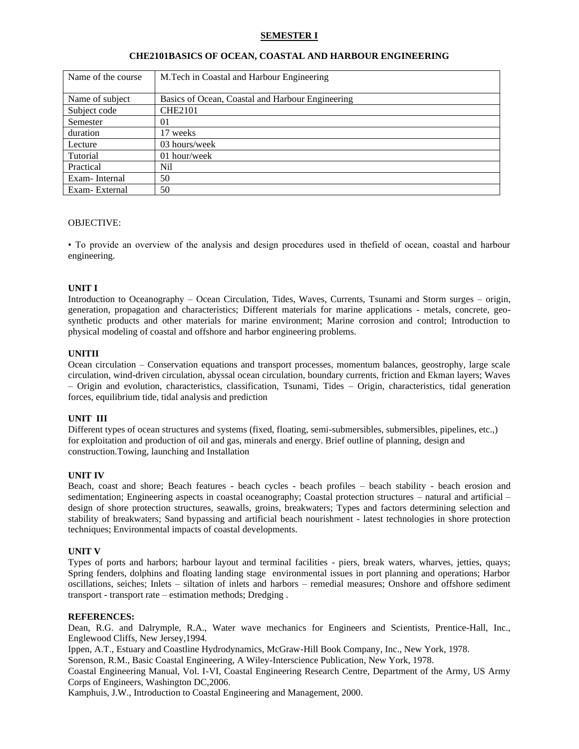## **SEMESTER I**

| Name of the course | M.Tech in Coastal and Harbour Engineering        |
|--------------------|--------------------------------------------------|
|                    |                                                  |
| Name of subject    | Basics of Ocean, Coastal and Harbour Engineering |
| Subject code       | <b>CHE2101</b>                                   |
| Semester           | 01                                               |
| duration           | 17 weeks                                         |
| Lecture            | 03 hours/week                                    |
| Tutorial           | 01 hour/week                                     |
| Practical          | Nil                                              |
| Exam-Internal      | 50                                               |
| Exam-External      | 50                                               |

#### **CHE2101BASICS OF OCEAN, COASTAL AND HARBOUR ENGINEERING**

### OBJECTIVE:

• To provide an overview of the analysis and design procedures used in thefield of ocean, coastal and harbour engineering.

#### **UNIT I**

Introduction to Oceanography – Ocean Circulation, Tides, Waves, Currents, Tsunami and Storm surges – origin, generation, propagation and characteristics; Different materials for marine applications - metals, concrete, geosynthetic products and other materials for marine environment; Marine corrosion and control; Introduction to physical modeling of coastal and offshore and harbor engineering problems.

### **UNITII**

Ocean circulation – Conservation equations and transport processes, momentum balances, geostrophy, large scale circulation, wind-driven circulation, abyssal ocean circulation, boundary currents, friction and Ekman layers; Waves – Origin and evolution, characteristics, classification, Tsunami, Tides – Origin, characteristics, tidal generation forces, equilibrium tide, tidal analysis and prediction

### **UNIT III**

Different types of ocean structures and systems (fixed, floating, semi-submersibles, submersibles, pipelines, etc.,) for exploitation and production of oil and gas, minerals and energy. Brief outline of planning, design and construction.Towing, launching and Installation

#### **UNIT IV**

Beach, coast and shore; Beach features - beach cycles - beach profiles – beach stability - beach erosion and sedimentation; Engineering aspects in coastal oceanography; Coastal protection structures – natural and artificial – design of shore protection structures, seawalls, groins, breakwaters; Types and factors determining selection and stability of breakwaters; Sand bypassing and artificial beach nourishment - latest technologies in shore protection techniques; Environmental impacts of coastal developments.

### **UNIT V**

Types of ports and harbors; harbour layout and terminal facilities - piers, break waters, wharves, jetties, quays; Spring fenders, dolphins and floating landing stage environmental issues in port planning and operations; Harbor oscillations, seiches; Inlets – siltation of inlets and harbors – remedial measures; Onshore and offshore sediment transport - transport rate – estimation methods; Dredging .

#### **REFERENCES:**

Dean, R.G. and Dalrymple, R.A., Water wave mechanics for Engineers and Scientists, Prentice-Hall, Inc., Englewood Cliffs, New Jersey,1994.

Ippen, A.T., Estuary and Coastline Hydrodynamics, McGraw-Hill Book Company, Inc., New York, 1978.

Sorenson, R.M., Basic Coastal Engineering, A Wiley-Interscience Publication, New York, 1978.

Coastal Engineering Manual, Vol. I-VI, Coastal Engineering Research Centre, Department of the Army, US Army Corps of Engineers, Washington DC,2006.

Kamphuis, J.W., Introduction to Coastal Engineering and Management, 2000.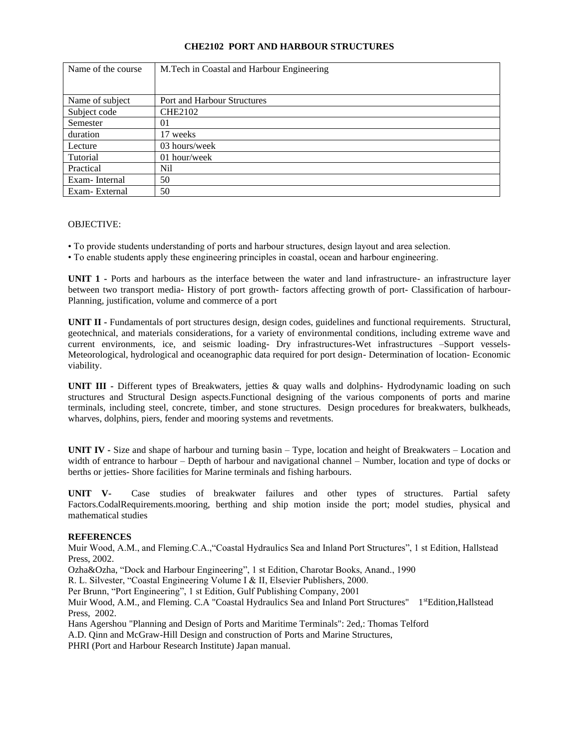# **CHE2102 PORT AND HARBOUR STRUCTURES**

| Name of the course | M.Tech in Coastal and Harbour Engineering |
|--------------------|-------------------------------------------|
|                    |                                           |
| Name of subject    | <b>Port and Harbour Structures</b>        |
| Subject code       | <b>CHE2102</b>                            |
| Semester           | 01                                        |
| duration           | 17 weeks                                  |
| Lecture            | 03 hours/week                             |
| Tutorial           | 01 hour/week                              |
| Practical          | Nil                                       |
| Exam-Internal      | 50                                        |
| Exam-External      | 50                                        |

## OBJECTIVE:

- To provide students understanding of ports and harbour structures, design layout and area selection.
- To enable students apply these engineering principles in coastal, ocean and harbour engineering.

**UNIT 1 -** Ports and harbours as the interface between the water and land infrastructure- an infrastructure layer between two transport media- History of port growth- factors affecting growth of port- Classification of harbour-Planning, justification, volume and commerce of a port

**UNIT II -** Fundamentals of port structures design, design codes, guidelines and functional requirements. Structural, geotechnical, and materials considerations, for a variety of environmental conditions, including extreme wave and current environments, ice, and seismic loading- Dry infrastructures-Wet infrastructures –Support vessels-Meteorological, hydrological and oceanographic data required for port design- Determination of location- Economic viability.

**UNIT III -** Different types of Breakwaters, jetties & quay walls and dolphins- Hydrodynamic loading on such structures and Structural Design aspects.Functional designing of the various components of ports and marine terminals, including steel, concrete, timber, and stone structures. Design procedures for breakwaters, bulkheads, wharves, dolphins, piers, fender and mooring systems and revetments.

**UNIT IV -** Size and shape of harbour and turning basin – Type, location and height of Breakwaters – Location and width of entrance to harbour – Depth of harbour and navigational channel – Number, location and type of docks or berths or jetties- Shore facilities for Marine terminals and fishing harbours.

**UNIT V-** Case studies of breakwater failures and other types of structures. Partial safety Factors.CodalRequirements.mooring, berthing and ship motion inside the port; model studies, physical and mathematical studies

### **REFERENCES**

Muir Wood, A.M., and Fleming.C.A.,"Coastal Hydraulics Sea and Inland Port Structures", 1 st Edition, Hallstead Press, 2002.

Ozha&Ozha, "Dock and Harbour Engineering", 1 st Edition, Charotar Books, Anand., 1990

R. L. Silvester, "Coastal Engineering Volume I & II, Elsevier Publishers, 2000.

Per Brunn, "Port Engineering", 1 st Edition, Gulf Publishing Company, 2001

Muir Wood, A.M., and Fleming. C.A "Coastal Hydraulics Sea and Inland Port Structures" 1stEdition,Hallstead Press, 2002.

Hans Agershou "Planning and Design of Ports and Maritime Terminals": 2ed,: Thomas Telford

A.D. Qinn and McGraw-Hill Design and construction of Ports and Marine Structures,

PHRI (Port and Harbour Research Institute) Japan manual.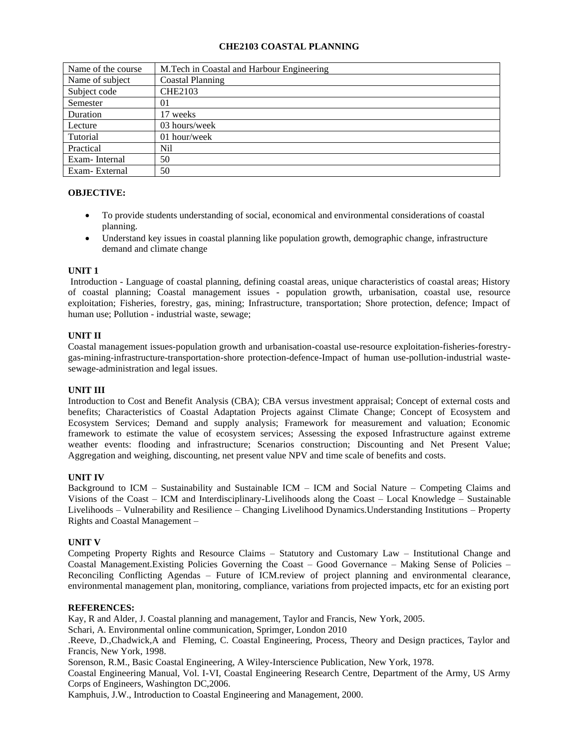# **CHE2103 COASTAL PLANNING**

| Name of the course | M. Tech in Coastal and Harbour Engineering |
|--------------------|--------------------------------------------|
| Name of subject    | Coastal Planning                           |
| Subject code       | <b>CHE2103</b>                             |
| Semester           | 01                                         |
| Duration           | 17 weeks                                   |
| Lecture            | 03 hours/week                              |
| Tutorial           | 01 hour/week                               |
| Practical          | Nil                                        |
| Exam-Internal      | 50                                         |
| Exam-External      | 50                                         |

## **OBJECTIVE:**

- To provide students understanding of social, economical and environmental considerations of coastal planning.
- Understand key issues in coastal planning like population growth, demographic change, infrastructure demand and climate change

### **UNIT 1**

Introduction - Language of coastal planning, defining coastal areas, unique characteristics of coastal areas; History of coastal planning; Coastal management issues - population growth, urbanisation, coastal use, resource exploitation; Fisheries, forestry, gas, mining; Infrastructure, transportation; Shore protection, defence; Impact of human use; Pollution - industrial waste, sewage;

## **UNIT II**

Coastal management issues-population growth and urbanisation-coastal use-resource exploitation-fisheries-forestrygas-mining-infrastructure-transportation-shore protection-defence-Impact of human use-pollution-industrial wastesewage-administration and legal issues.

### **UNIT III**

Introduction to Cost and Benefit Analysis (CBA); CBA versus investment appraisal; Concept of external costs and benefits; Characteristics of Coastal Adaptation Projects against Climate Change; Concept of Ecosystem and Ecosystem Services; Demand and supply analysis; Framework for measurement and valuation; Economic framework to estimate the value of ecosystem services; Assessing the exposed Infrastructure against extreme weather events: flooding and infrastructure; Scenarios construction; Discounting and Net Present Value; Aggregation and weighing, discounting, net present value NPV and time scale of benefits and costs.

### **UNIT IV**

Background to ICM – Sustainability and Sustainable ICM – ICM and Social Nature – Competing Claims and Visions of the Coast – ICM and Interdisciplinary-Livelihoods along the Coast – Local Knowledge – Sustainable Livelihoods – Vulnerability and Resilience – Changing Livelihood Dynamics.Understanding Institutions – Property Rights and Coastal Management –

### **UNIT V**

Competing Property Rights and Resource Claims – Statutory and Customary Law – Institutional Change and Coastal Management.Existing Policies Governing the Coast – Good Governance – Making Sense of Policies – Reconciling Conflicting Agendas – Future of ICM.review of project planning and environmental clearance, environmental management plan, monitoring, compliance, variations from projected impacts, etc for an existing port

### **REFERENCES:**

Kay, R and Alder, J. Coastal planning and management, Taylor and Francis, New York, 2005.

Schari, A. Environmental online communication, Sprimger, London 2010

.Reeve, D.,Chadwick,A and Fleming, C. Coastal Engineering, Process, Theory and Design practices, Taylor and Francis, New York, 1998.

Sorenson, R.M., Basic Coastal Engineering, A Wiley-Interscience Publication, New York, 1978.

Coastal Engineering Manual, Vol. I-VI, Coastal Engineering Research Centre, Department of the Army, US Army Corps of Engineers, Washington DC,2006.

Kamphuis, J.W., Introduction to Coastal Engineering and Management, 2000.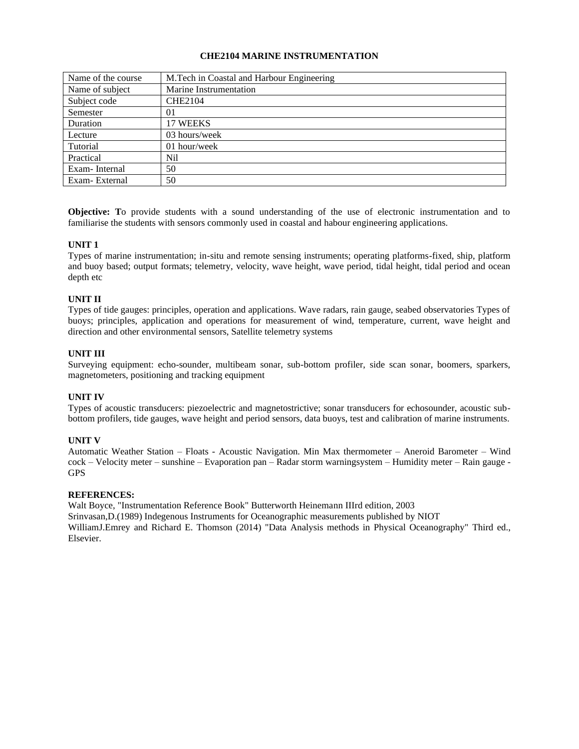## **CHE2104 MARINE INSTRUMENTATION**

| Name of the course | M. Tech in Coastal and Harbour Engineering |
|--------------------|--------------------------------------------|
| Name of subject    | Marine Instrumentation                     |
| Subject code       | <b>CHE2104</b>                             |
| Semester           | 01                                         |
| Duration           | 17 WEEKS                                   |
| Lecture            | 03 hours/week                              |
| Tutorial           | 01 hour/week                               |
| Practical          | Nil                                        |
| Exam-Internal      | 50                                         |
| Exam-External      | 50                                         |

**Objective: T**o provide students with a sound understanding of the use of electronic instrumentation and to familiarise the students with sensors commonly used in coastal and habour engineering applications.

# **UNIT 1**

Types of marine instrumentation; in-situ and remote sensing instruments; operating platforms-fixed, ship, platform and buoy based; output formats; telemetry, velocity, wave height, wave period, tidal height, tidal period and ocean depth etc

# **UNIT II**

Types of tide gauges: principles, operation and applications. Wave radars, rain gauge, seabed observatories Types of buoys; principles, application and operations for measurement of wind, temperature, current, wave height and direction and other environmental sensors, Satellite telemetry systems

## **UNIT III**

Surveying equipment: echo-sounder, multibeam sonar, sub-bottom profiler, side scan sonar, boomers, sparkers, magnetometers, positioning and tracking equipment

### **UNIT IV**

Types of acoustic transducers: piezoelectric and magnetostrictive; sonar transducers for echosounder, acoustic subbottom profilers, tide gauges, wave height and period sensors, data buoys, test and calibration of marine instruments.

### **UNIT V**

Automatic Weather Station – Floats - Acoustic Navigation. Min Max thermometer – Aneroid Barometer – Wind cock – Velocity meter – sunshine – Evaporation pan – Radar storm warningsystem – Humidity meter – Rain gauge - GPS

### **REFERENCES:**

Walt Boyce, "Instrumentation Reference Book" Butterworth Heinemann IIIrd edition, 2003 Srinvasan,D.(1989) Indegenous Instruments for Oceanographic measurements published by NIOT WilliamJ.Emrey and Richard E. Thomson (2014) "Data Analysis methods in Physical Oceanography" Third ed., Elsevier.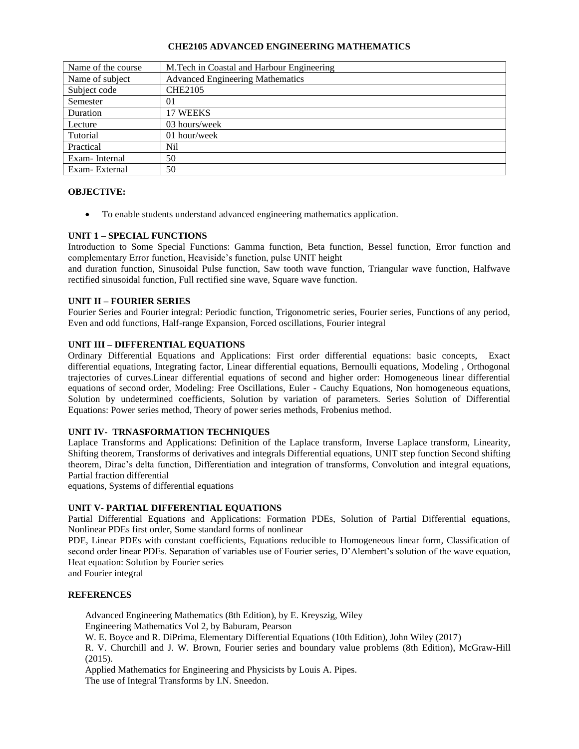## **CHE2105 ADVANCED ENGINEERING MATHEMATICS**

| Name of the course | M. Tech in Coastal and Harbour Engineering |
|--------------------|--------------------------------------------|
| Name of subject    | <b>Advanced Engineering Mathematics</b>    |
| Subject code       | <b>CHE2105</b>                             |
| Semester           | 01                                         |
| Duration           | 17 WEEKS                                   |
| Lecture            | 03 hours/week                              |
| Tutorial           | 01 hour/week                               |
| Practical          | Nil                                        |
| Exam-Internal      | 50                                         |
| Exam-External      | 50                                         |

## **OBJECTIVE:**

• To enable students understand advanced engineering mathematics application.

## **UNIT 1 – SPECIAL FUNCTIONS**

Introduction to Some Special Functions: Gamma function, Beta function, Bessel function, Error function and complementary Error function, Heaviside's function, pulse UNIT height

and duration function, Sinusoidal Pulse function, Saw tooth wave function, Triangular wave function, Halfwave rectified sinusoidal function, Full rectified sine wave, Square wave function.

## **UNIT II – FOURIER SERIES**

Fourier Series and Fourier integral: Periodic function, Trigonometric series, Fourier series, Functions of any period, Even and odd functions, Half-range Expansion, Forced oscillations, Fourier integral

# **UNIT III – DIFFERENTIAL EQUATIONS**

Ordinary Differential Equations and Applications: First order differential equations: basic concepts, Exact differential equations, Integrating factor, Linear differential equations, Bernoulli equations, Modeling , Orthogonal trajectories of curves.Linear differential equations of second and higher order: Homogeneous linear differential equations of second order, Modeling: Free Oscillations, Euler - Cauchy Equations, Non homogeneous equations, Solution by undetermined coefficients, Solution by variation of parameters. Series Solution of Differential Equations: Power series method, Theory of power series methods, Frobenius method.

# **UNIT IV- TRNASFORMATION TECHNIQUES**

Laplace Transforms and Applications: Definition of the Laplace transform, Inverse Laplace transform, Linearity, Shifting theorem, Transforms of derivatives and integrals Differential equations, UNIT step function Second shifting theorem, Dirac's delta function, Differentiation and integration of transforms, Convolution and integral equations, Partial fraction differential

equations, Systems of differential equations

### **UNIT V- PARTIAL DIFFERENTIAL EQUATIONS**

Partial Differential Equations and Applications: Formation PDEs, Solution of Partial Differential equations, Nonlinear PDEs first order, Some standard forms of nonlinear

PDE, Linear PDEs with constant coefficients, Equations reducible to Homogeneous linear form, Classification of second order linear PDEs. Separation of variables use of Fourier series, D'Alembert's solution of the wave equation, Heat equation: Solution by Fourier series

and Fourier integral

### **REFERENCES**

Advanced Engineering Mathematics (8th Edition), by E. Kreyszig, Wiley Engineering Mathematics Vol 2, by Baburam, Pearson

W. E. Boyce and R. DiPrima, Elementary Differential Equations (10th Edition), John Wiley (2017)

R. V. Churchill and J. W. Brown, Fourier series and boundary value problems (8th Edition), McGraw-Hill (2015).

Applied Mathematics for Engineering and Physicists by Louis A. Pipes. The use of Integral Transforms by I.N. Sneedon.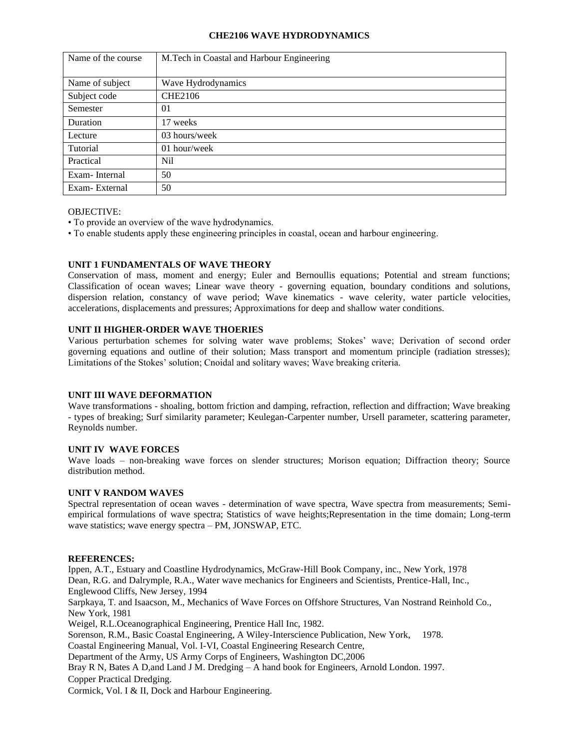### **CHE2106 WAVE HYDRODYNAMICS**

| Name of the course | M.Tech in Coastal and Harbour Engineering |
|--------------------|-------------------------------------------|
|                    |                                           |
| Name of subject    | Wave Hydrodynamics                        |
| Subject code       | <b>CHE2106</b>                            |
| Semester           | 01                                        |
| Duration           | 17 weeks                                  |
| Lecture            | 03 hours/week                             |
| Tutorial           | 01 hour/week                              |
| Practical          | Nil.                                      |
| Exam-Internal      | 50                                        |
| Exam-External      | 50                                        |

### OBJECTIVE:

- To provide an overview of the wave hydrodynamics.
- To enable students apply these engineering principles in coastal, ocean and harbour engineering.

# **UNIT 1 FUNDAMENTALS OF WAVE THEORY**

Conservation of mass, moment and energy; Euler and Bernoullis equations; Potential and stream functions; Classification of ocean waves; Linear wave theory - governing equation, boundary conditions and solutions, dispersion relation, constancy of wave period; Wave kinematics - wave celerity, water particle velocities, accelerations, displacements and pressures; Approximations for deep and shallow water conditions.

# **UNIT II HIGHER-ORDER WAVE THOERIES**

Various perturbation schemes for solving water wave problems; Stokes' wave; Derivation of second order governing equations and outline of their solution; Mass transport and momentum principle (radiation stresses); Limitations of the Stokes' solution; Cnoidal and solitary waves; Wave breaking criteria.

# **UNIT III WAVE DEFORMATION**

Wave transformations - shoaling, bottom friction and damping, refraction, reflection and diffraction; Wave breaking - types of breaking; Surf similarity parameter; Keulegan-Carpenter number, Ursell parameter, scattering parameter, Reynolds number.

# **UNIT IV WAVE FORCES**

Wave loads – non-breaking wave forces on slender structures; Morison equation; Diffraction theory; Source distribution method.

### **UNIT V RANDOM WAVES**

Spectral representation of ocean waves - determination of wave spectra, Wave spectra from measurements; Semiempirical formulations of wave spectra; Statistics of wave heights;Representation in the time domain; Long-term wave statistics; wave energy spectra – PM, JONSWAP, ETC.

### **REFERENCES:**

Ippen, A.T., Estuary and Coastline Hydrodynamics, McGraw-Hill Book Company, inc., New York, 1978 Dean, R.G. and Dalrymple, R.A., Water wave mechanics for Engineers and Scientists, Prentice-Hall, Inc., Englewood Cliffs, New Jersey, 1994 Sarpkaya, T. and Isaacson, M., Mechanics of Wave Forces on Offshore Structures, Van Nostrand Reinhold Co., New York, 1981 Weigel, R.L.Oceanographical Engineering, Prentice Hall Inc, 1982. Sorenson, R.M., Basic Coastal Engineering, A Wiley-Interscience Publication, New York, 1978. Coastal Engineering Manual, Vol. I-VI, Coastal Engineering Research Centre, Department of the Army, US Army Corps of Engineers, Washington DC,2006 Bray R N, Bates A D,and Land J M. Dredging – A hand book for Engineers, Arnold London. 1997. Copper Practical Dredging. Cormick, Vol. I & II, Dock and Harbour Engineering.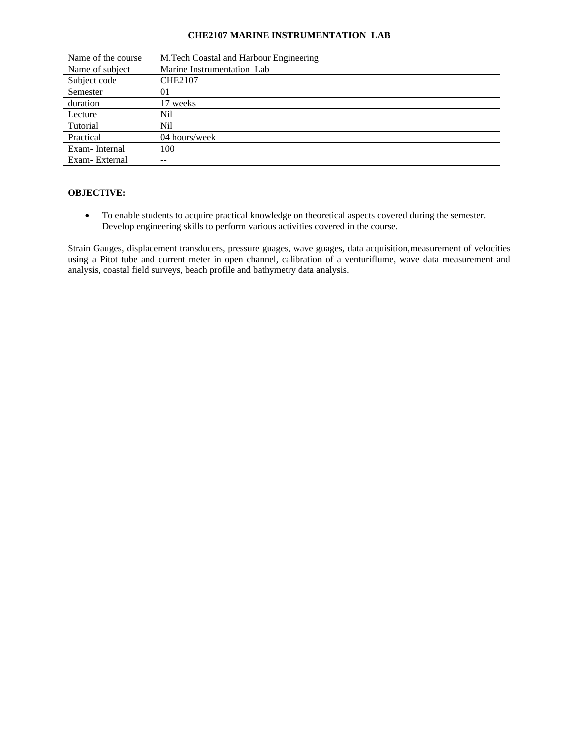#### **CHE2107 MARINE INSTRUMENTATION LAB**

| Name of the course | M.Tech Coastal and Harbour Engineering |
|--------------------|----------------------------------------|
| Name of subject    | Marine Instrumentation Lab             |
| Subject code       | <b>CHE2107</b>                         |
| Semester           | 01                                     |
| duration           | 17 weeks                               |
| Lecture            | Nil                                    |
| Tutorial           | Nil                                    |
| Practical          | 04 hours/week                          |
| Exam-Internal      | 100                                    |
| Exam-External      | --                                     |

# **OBJECTIVE:**

• To enable students to acquire practical knowledge on theoretical aspects covered during the semester. Develop engineering skills to perform various activities covered in the course.

Strain Gauges, displacement transducers, pressure guages, wave guages, data acquisition,measurement of velocities using a Pitot tube and current meter in open channel, calibration of a venturiflume, wave data measurement and analysis, coastal field surveys, beach profile and bathymetry data analysis.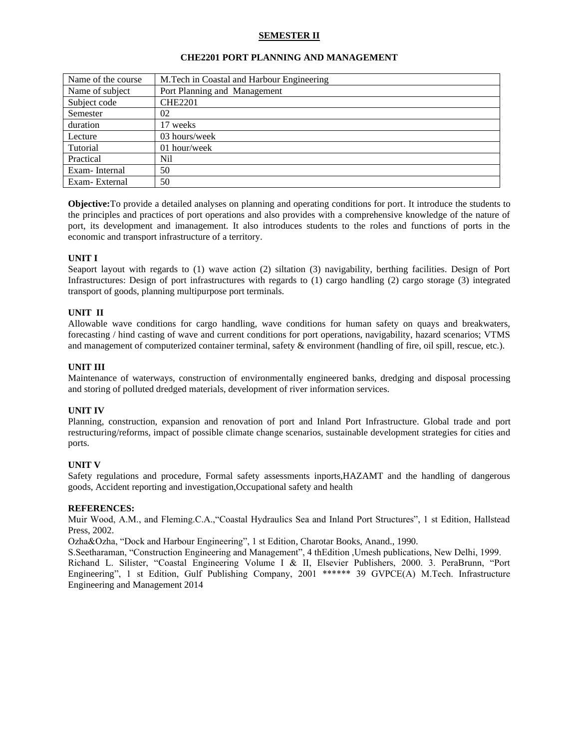# **SEMESTER II**

| Name of the course | M. Tech in Coastal and Harbour Engineering |
|--------------------|--------------------------------------------|
| Name of subject    | Port Planning and Management               |
| Subject code       | <b>CHE2201</b>                             |
| Semester           | 02                                         |
| duration           | 17 weeks                                   |
| Lecture            | 03 hours/week                              |
| Tutorial           | 01 hour/week                               |
| Practical          | Nil                                        |
| Exam-Internal      | 50                                         |
| Exam-External      | 50                                         |

## **CHE2201 PORT PLANNING AND MANAGEMENT**

**Objective:**To provide a detailed analyses on planning and operating conditions for port. It introduce the students to the principles and practices of port operations and also provides with a comprehensive knowledge of the nature of port, its development and imanagement. It also introduces students to the roles and functions of ports in the economic and transport infrastructure of a territory.

## **UNIT I**

Seaport layout with regards to (1) wave action (2) siltation (3) navigability, berthing facilities. Design of Port Infrastructures: Design of port infrastructures with regards to (1) cargo handling (2) cargo storage (3) integrated transport of goods, planning multipurpose port terminals.

## **UNIT II**

Allowable wave conditions for cargo handling, wave conditions for human safety on quays and breakwaters, forecasting / hind casting of wave and current conditions for port operations, navigability, hazard scenarios; VTMS and management of computerized container terminal, safety & environment (handling of fire, oil spill, rescue, etc.).

## **UNIT III**

Maintenance of waterways, construction of environmentally engineered banks, dredging and disposal processing and storing of polluted dredged materials, development of river information services.

### **UNIT IV**

Planning, construction, expansion and renovation of port and Inland Port Infrastructure. Global trade and port restructuring/reforms, impact of possible climate change scenarios, sustainable development strategies for cities and ports.

### **UNIT V**

Safety regulations and procedure, Formal safety assessments inports,HAZAMT and the handling of dangerous goods, Accident reporting and investigation,Occupational safety and health

### **REFERENCES:**

Muir Wood, A.M., and Fleming.C.A.,"Coastal Hydraulics Sea and Inland Port Structures", 1 st Edition, Hallstead Press, 2002.

Ozha&Ozha, "Dock and Harbour Engineering", 1 st Edition, Charotar Books, Anand., 1990.

S.Seetharaman, "Construction Engineering and Management", 4 thEdition ,Umesh publications, New Delhi, 1999. Richand L. Silister, "Coastal Engineering Volume I & II, Elsevier Publishers, 2000. 3. PeraBrunn, "Port Engineering", 1 st Edition, Gulf Publishing Company, 2001 \*\*\*\*\*\* 39 GVPCE(A) M.Tech. Infrastructure Engineering and Management 2014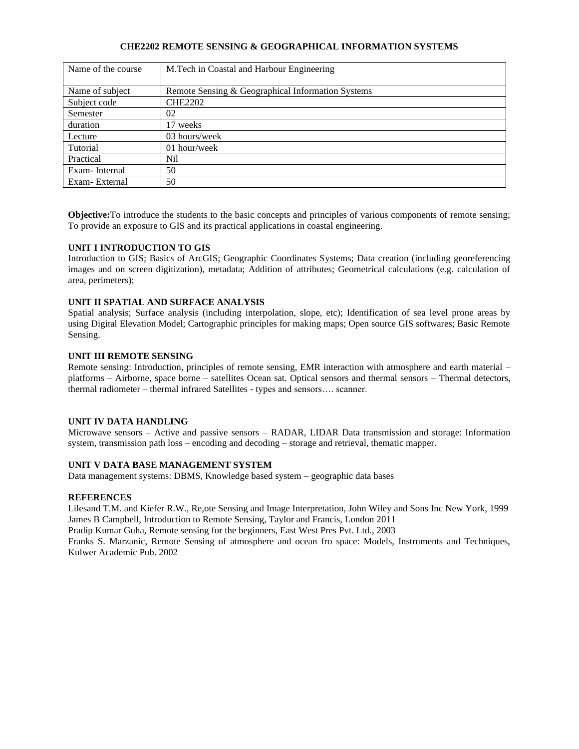# **CHE2202 REMOTE SENSING & GEOGRAPHICAL INFORMATION SYSTEMS**

| Name of the course | M.Tech in Coastal and Harbour Engineering         |
|--------------------|---------------------------------------------------|
| Name of subject    | Remote Sensing & Geographical Information Systems |
| Subject code       | <b>CHE2202</b>                                    |
| Semester           | 02                                                |
| duration           | 17 weeks                                          |
| Lecture            | 03 hours/week                                     |
| Tutorial           | 01 hour/week                                      |
| Practical          | Nil                                               |
| Exam-Internal      | 50                                                |
| Exam-External      | 50                                                |

**Objective:**To introduce the students to the basic concepts and principles of various components of remote sensing; To provide an exposure to GIS and its practical applications in coastal engineering.

### **UNIT I INTRODUCTION TO GIS**

Introduction to GIS; Basics of ArcGIS; Geographic Coordinates Systems; Data creation (including georeferencing images and on screen digitization), metadata; Addition of attributes; Geometrical calculations (e.g. calculation of area, perimeters);

## **UNIT II SPATIAL AND SURFACE ANALYSIS**

Spatial analysis; Surface analysis (including interpolation, slope, etc); Identification of sea level prone areas by using Digital Elevation Model; Cartographic principles for making maps; Open source GIS softwares; Basic Remote Sensing.

## **UNIT III REMOTE SENSING**

Remote sensing: Introduction, principles of remote sensing, EMR interaction with atmosphere and earth material – platforms – Airborne, space borne – satellites Ocean sat. Optical sensors and thermal sensors – Thermal detectors, thermal radiometer – thermal infrared Satellites - types and sensors…. scanner.

### **UNIT IV DATA HANDLING**

Microwave sensors – Active and passive sensors – RADAR, LIDAR Data transmission and storage: Information system, transmission path loss – encoding and decoding – storage and retrieval, thematic mapper.

### **UNIT V DATA BASE MANAGEMENT SYSTEM**

Data management systems: DBMS, Knowledge based system – geographic data bases

### **REFERENCES**

Lilesand T.M. and Kiefer R.W., Re,ote Sensing and Image Interpretation, John Wiley and Sons Inc New York, 1999 James B Campbell, Introduction to Remote Sensing, Taylor and Francis, London 2011

Pradip Kumar Guha, Remote sensing for the beginners, East West Pres Pvt. Ltd., 2003

Franks S. Marzanic, Remote Sensing of atmosphere and ocean fro space: Models, Instruments and Techniques, Kulwer Academic Pub. 2002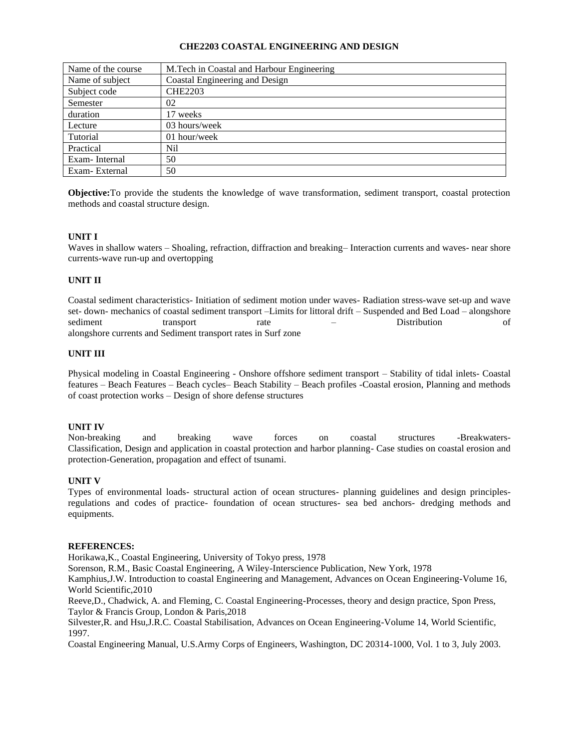## **CHE2203 COASTAL ENGINEERING AND DESIGN**

| Name of the course | M. Tech in Coastal and Harbour Engineering |
|--------------------|--------------------------------------------|
| Name of subject    | Coastal Engineering and Design             |
| Subject code       | <b>CHE2203</b>                             |
| Semester           | 02                                         |
| duration           | 17 weeks                                   |
| Lecture            | 03 hours/week                              |
| Tutorial           | 01 hour/week                               |
| Practical          | Nil                                        |
| Exam-Internal      | 50                                         |
| Exam-External      | 50                                         |

**Objective:**To provide the students the knowledge of wave transformation, sediment transport, coastal protection methods and coastal structure design.

## **UNIT I**

Waves in shallow waters – Shoaling, refraction, diffraction and breaking– Interaction currents and waves- near shore currents-wave run-up and overtopping

### **UNIT II**

Coastal sediment characteristics- Initiation of sediment motion under waves- Radiation stress-wave set-up and wave set- down- mechanics of coastal sediment transport –Limits for littoral drift – Suspended and Bed Load – alongshore sediment transport rate – Distribution of alongshore currents and Sediment transport rates in Surf zone

### **UNIT III**

Physical modeling in Coastal Engineering - Onshore offshore sediment transport – Stability of tidal inlets- Coastal features – Beach Features – Beach cycles– Beach Stability – Beach profiles -Coastal erosion, Planning and methods of coast protection works – Design of shore defense structures

### **UNIT IV**

Non-breaking and breaking wave forces on coastal structures -Breakwaters-Classification, Design and application in coastal protection and harbor planning- Case studies on coastal erosion and protection-Generation, propagation and effect of tsunami.

### **UNIT V**

Types of environmental loads- structural action of ocean structures- planning guidelines and design principlesregulations and codes of practice- foundation of ocean structures- sea bed anchors- dredging methods and equipments.

### **REFERENCES:**

Horikawa,K., Coastal Engineering, University of Tokyo press, 1978

Sorenson, R.M., Basic Coastal Engineering, A Wiley-Interscience Publication, New York, 1978

Kamphius,J.W. Introduction to coastal Engineering and Management, Advances on Ocean Engineering-Volume 16, World Scientific,2010

Reeve,D., Chadwick, A. and Fleming, C. Coastal Engineering-Processes, theory and design practice, Spon Press, Taylor & Francis Group, London & Paris,2018

Silvester,R. and Hsu,J.R.C. Coastal Stabilisation, Advances on Ocean Engineering-Volume 14, World Scientific, 1997.

Coastal Engineering Manual, U.S.Army Corps of Engineers, Washington, DC 20314-1000, Vol. 1 to 3, July 2003.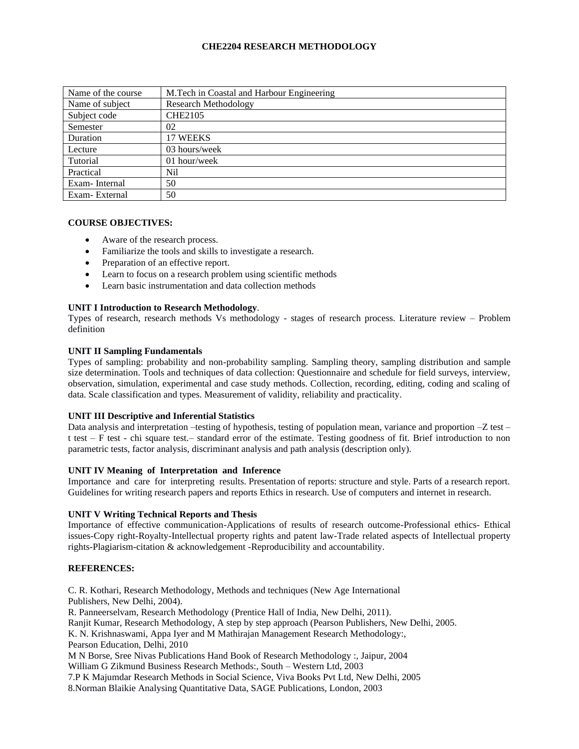# **CHE2204 RESEARCH METHODOLOGY**

| Name of the course | M. Tech in Coastal and Harbour Engineering |
|--------------------|--------------------------------------------|
| Name of subject    | <b>Research Methodology</b>                |
| Subject code       | <b>CHE2105</b>                             |
| Semester           | 02                                         |
| Duration           | 17 WEEKS                                   |
| Lecture            | 03 hours/week                              |
| Tutorial           | 01 hour/week                               |
| Practical          | Nil                                        |
| Exam-Internal      | 50                                         |
| Exam-External      | 50                                         |

#### **COURSE OBJECTIVES:**

- Aware of the research process.
- Familiarize the tools and skills to investigate a research.
- Preparation of an effective report.
- Learn to focus on a research problem using scientific methods
- Learn basic instrumentation and data collection methods

## **UNIT I Introduction to Research Methodology**.

Types of research, research methods Vs methodology - stages of research process. Literature review – Problem definition

### **UNIT II Sampling Fundamentals**

Types of sampling: probability and non-probability sampling. Sampling theory, sampling distribution and sample size determination. Tools and techniques of data collection: Questionnaire and schedule for field surveys, interview, observation, simulation, experimental and case study methods. Collection, recording, editing, coding and scaling of data. Scale classification and types. Measurement of validity, reliability and practicality.

## **UNIT III Descriptive and Inferential Statistics**

Data analysis and interpretation –testing of hypothesis, testing of population mean, variance and proportion –Z test – t test – F test - chi square test.– standard error of the estimate. Testing goodness of fit. Brief introduction to non parametric tests, factor analysis, discriminant analysis and path analysis (description only).

### **UNIT IV Meaning of Interpretation and Inference**

Importance and care for interpreting results. Presentation of reports: structure and style. Parts of a research report. Guidelines for writing research papers and reports Ethics in research. Use of computers and internet in research.

### **UNIT V Writing Technical Reports and Thesis**

Importance of effective communication-Applications of results of research outcome-Professional ethics- Ethical issues-Copy right-Royalty-Intellectual property rights and patent law-Trade related aspects of Intellectual property rights-Plagiarism-citation & acknowledgement -Reproducibility and accountability.

### **REFERENCES:**

C. R. Kothari, Research Methodology, Methods and techniques (New Age International Publishers, New Delhi, 2004).

R. Panneerselvam, Research Methodology (Prentice Hall of India, New Delhi, 2011).

Ranjit Kumar, Research Methodology, A step by step approach (Pearson Publishers, New Delhi, 2005.

K. N. Krishnaswami, Appa Iyer and M Mathirajan Management Research Methodology:, Pearson Education, Delhi, 2010

M N Borse, Sree Nivas Publications Hand Book of Research Methodology :, Jaipur, 2004

William G Zikmund Business Research Methods:, South – Western Ltd, 2003

7.P K Majumdar Research Methods in Social Science, Viva Books Pvt Ltd, New Delhi, 2005 8.Norman Blaikie Analysing Quantitative Data, SAGE Publications, London, 2003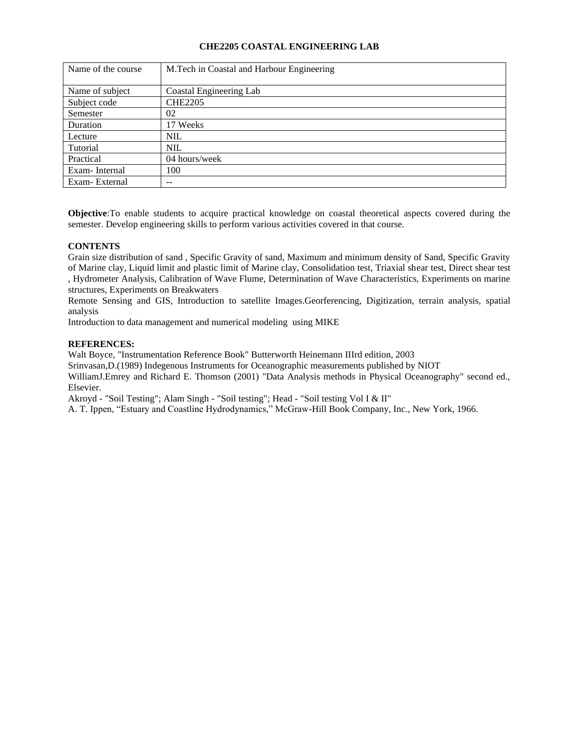# **CHE2205 COASTAL ENGINEERING LAB**

| Name of the course | M.Tech in Coastal and Harbour Engineering |
|--------------------|-------------------------------------------|
| Name of subject    | Coastal Engineering Lab                   |
| Subject code       | <b>CHE2205</b>                            |
| Semester           | 02                                        |
| Duration           | 17 Weeks                                  |
| Lecture            | <b>NIL</b>                                |
| Tutorial           | <b>NIL</b>                                |
| Practical          | 04 hours/week                             |
| Exam-Internal      | 100                                       |
| Exam-External      | --                                        |

**Objective**:To enable students to acquire practical knowledge on coastal theoretical aspects covered during the semester. Develop engineering skills to perform various activities covered in that course.

# **CONTENTS**

Grain size distribution of sand , Specific Gravity of sand, Maximum and minimum density of Sand, Specific Gravity of Marine clay, Liquid limit and plastic limit of Marine clay, Consolidation test, Triaxial shear test, Direct shear test , Hydrometer Analysis, Calibration of Wave Flume, Determination of Wave Characteristics, Experiments on marine structures, Experiments on Breakwaters

Remote Sensing and GIS, Introduction to satellite Images.Georferencing, Digitization, terrain analysis, spatial analysis

Introduction to data management and numerical modeling using MIKE

# **REFERENCES:**

Walt Boyce, "Instrumentation Reference Book" Butterworth Heinemann IIIrd edition, 2003

Srinvasan,D.(1989) Indegenous Instruments for Oceanographic measurements published by NIOT

WilliamJ.Emrey and Richard E. Thomson (2001) "Data Analysis methods in Physical Oceanography" second ed., Elsevier.

Akroyd - "Soil Testing"; Alam Singh - "Soil testing"; Head - "Soil testing Vol I & II"

A. T. Ippen, "Estuary and Coastline Hydrodynamics," McGraw-Hill Book Company, Inc., New York, 1966.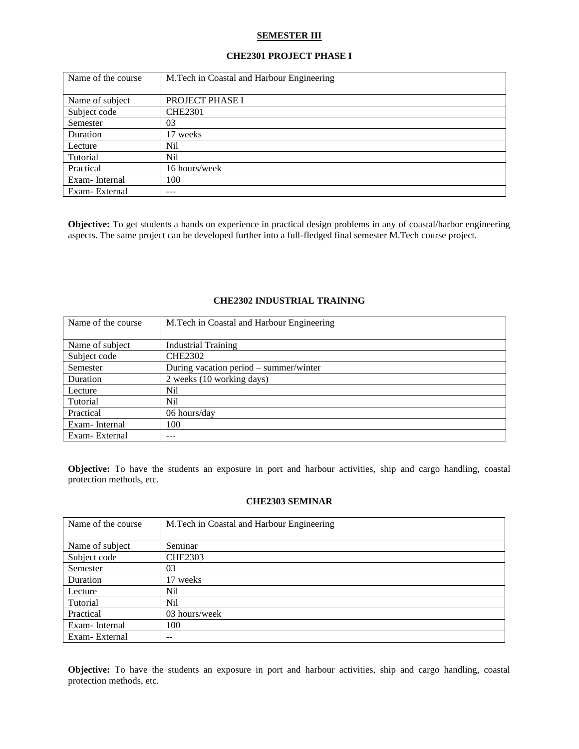## **SEMESTER III**

## **CHE2301 PROJECT PHASE I**

| Name of the course | M.Tech in Coastal and Harbour Engineering |
|--------------------|-------------------------------------------|
|                    |                                           |
| Name of subject    | PROJECT PHASE I                           |
| Subject code       | <b>CHE2301</b>                            |
| Semester           | 03                                        |
| Duration           | 17 weeks                                  |
| Lecture            | Nil                                       |
| Tutorial           | Nil                                       |
| Practical          | 16 hours/week                             |
| Exam-Internal      | 100                                       |
| Exam-External      | ---                                       |

**Objective:** To get students a hands on experience in practical design problems in any of coastal/harbor engineering aspects. The same project can be developed further into a full-fledged final semester M.Tech course project.

| Name of the course | M. Tech in Coastal and Harbour Engineering |
|--------------------|--------------------------------------------|
| Name of subject    | <b>Industrial Training</b>                 |
| Subject code       | <b>CHE2302</b>                             |
| Semester           | During vacation period – summer/winter     |
| Duration           | 2 weeks (10 working days)                  |
| Lecture            | Nil                                        |
| Tutorial           | Nil                                        |
| Practical          | 06 hours/day                               |
| Exam-Internal      | 100                                        |
| Exam-External      | ---                                        |

#### **CHE2302 INDUSTRIAL TRAINING**

**Objective:** To have the students an exposure in port and harbour activities, ship and cargo handling, coastal protection methods, etc.

## **CHE2303 SEMINAR**

| Name of the course | M. Tech in Coastal and Harbour Engineering |
|--------------------|--------------------------------------------|
|                    |                                            |
| Name of subject    | Seminar                                    |
| Subject code       | <b>CHE2303</b>                             |
| Semester           | 03                                         |
| Duration           | 17 weeks                                   |
| Lecture            | Nil                                        |
| Tutorial           | Nil                                        |
| Practical          | 03 hours/week                              |
| Exam-Internal      | 100                                        |
| Exam-External      |                                            |

**Objective:** To have the students an exposure in port and harbour activities, ship and cargo handling, coastal protection methods, etc.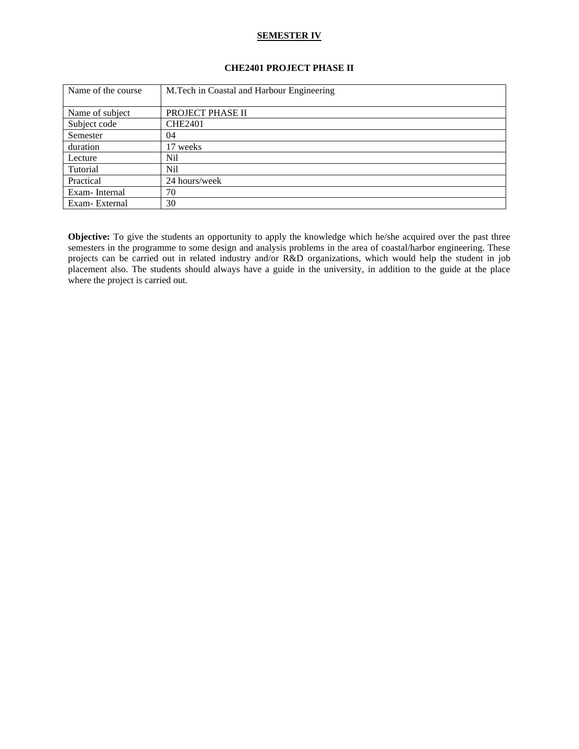## **SEMESTER IV**

# **CHE2401 PROJECT PHASE II**

| Name of the course | M.Tech in Coastal and Harbour Engineering |
|--------------------|-------------------------------------------|
|                    |                                           |
| Name of subject    | PROJECT PHASE II                          |
| Subject code       | <b>CHE2401</b>                            |
| Semester           | 04                                        |
| duration           | 17 weeks                                  |
| Lecture            | Nil                                       |
| Tutorial           | Nil                                       |
| Practical          | 24 hours/week                             |
| Exam-Internal      | 70                                        |
| Exam-External      | 30                                        |

**Objective:** To give the students an opportunity to apply the knowledge which he/she acquired over the past three semesters in the programme to some design and analysis problems in the area of coastal/harbor engineering. These projects can be carried out in related industry and/or R&D organizations, which would help the student in job placement also. The students should always have a guide in the university, in addition to the guide at the place where the project is carried out.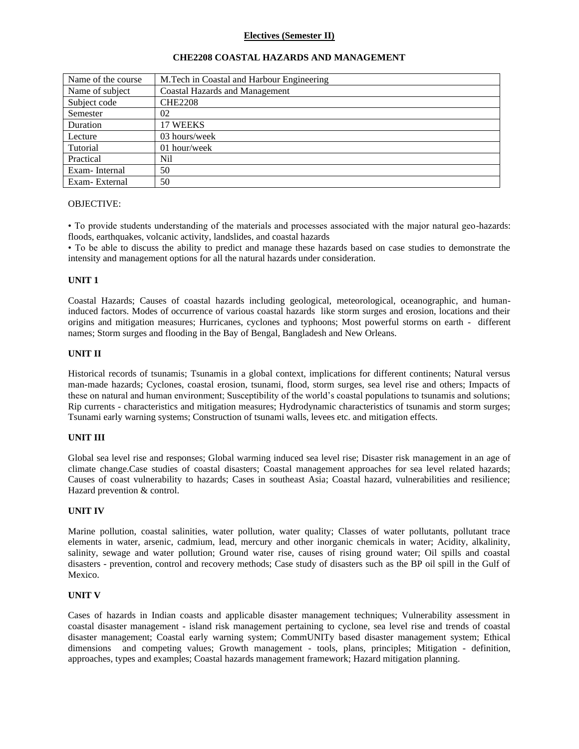## **Electives (Semester II)**

| Name of the course | M. Tech in Coastal and Harbour Engineering |
|--------------------|--------------------------------------------|
| Name of subject    | <b>Coastal Hazards and Management</b>      |
| Subject code       | <b>CHE2208</b>                             |
| Semester           | 02                                         |
| Duration           | 17 WEEKS                                   |
| Lecture            | 03 hours/week                              |
| Tutorial           | 01 hour/week                               |
| Practical          | Nil                                        |
| Exam-Internal      | 50                                         |
| Exam-External      | 50                                         |

### **CHE2208 COASTAL HAZARDS AND MANAGEMENT**

## OBJECTIVE:

• To provide students understanding of the materials and processes associated with the major natural geo-hazards: floods, earthquakes, volcanic activity, landslides, and coastal hazards

• To be able to discuss the ability to predict and manage these hazards based on case studies to demonstrate the intensity and management options for all the natural hazards under consideration.

#### **UNIT 1**

Coastal Hazards; Causes of coastal hazards including geological, meteorological, oceanographic, and humaninduced factors. Modes of occurrence of various coastal hazards like storm surges and erosion, locations and their origins and mitigation measures; Hurricanes, cyclones and typhoons; Most powerful storms on earth - different names; Storm surges and flooding in the Bay of Bengal, Bangladesh and New Orleans.

#### **UNIT II**

Historical records of tsunamis; Tsunamis in a global context, implications for different continents; Natural versus man-made hazards; Cyclones, coastal erosion, tsunami, flood, storm surges, sea level rise and others; Impacts of these on natural and human environment; Susceptibility of the world's coastal populations to tsunamis and solutions; Rip currents - characteristics and mitigation measures; Hydrodynamic characteristics of tsunamis and storm surges; Tsunami early warning systems; Construction of tsunami walls, levees etc. and mitigation effects.

### **UNIT III**

Global sea level rise and responses; Global warming induced sea level rise; Disaster risk management in an age of climate change.Case studies of coastal disasters; Coastal management approaches for sea level related hazards; Causes of coast vulnerability to hazards; Cases in southeast Asia; Coastal hazard, vulnerabilities and resilience; Hazard prevention & control.

#### **UNIT IV**

Marine pollution, coastal salinities, water pollution, water quality; Classes of water pollutants, pollutant trace elements in water, arsenic, cadmium, lead, mercury and other inorganic chemicals in water; Acidity, alkalinity, salinity, sewage and water pollution; Ground water rise, causes of rising ground water; Oil spills and coastal disasters - prevention, control and recovery methods; Case study of disasters such as the BP oil spill in the Gulf of Mexico.

#### **UNIT V**

Cases of hazards in Indian coasts and applicable disaster management techniques; Vulnerability assessment in coastal disaster management - island risk management pertaining to cyclone, sea level rise and trends of coastal disaster management; Coastal early warning system; CommUNITy based disaster management system; Ethical dimensions and competing values; Growth management - tools, plans, principles; Mitigation - definition, approaches, types and examples; Coastal hazards management framework; Hazard mitigation planning.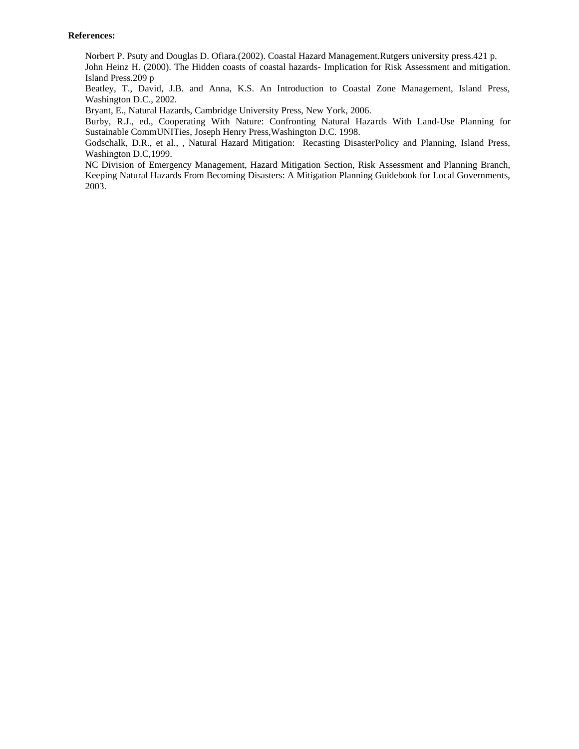### **References:**

Norbert P. Psuty and Douglas D. Ofiara.(2002). Coastal Hazard Management.Rutgers university press.421 p. John Heinz H. (2000). The Hidden coasts of coastal hazards- Implication for Risk Assessment and mitigation. Island Press.209 p

Beatley, T., David, J.B. and Anna, K.S. An Introduction to Coastal Zone Management, Island Press, Washington D.C., 2002.

Bryant, E., Natural Hazards, Cambridge University Press, New York, 2006.

Burby, R.J., ed., Cooperating With Nature: Confronting Natural Hazards With Land-Use Planning for Sustainable CommUNITies, Joseph Henry Press,Washington D.C. 1998.

Godschalk, D.R., et al., , Natural Hazard Mitigation: Recasting DisasterPolicy and Planning, Island Press, Washington D.C,1999.

NC Division of Emergency Management, Hazard Mitigation Section, Risk Assessment and Planning Branch, Keeping Natural Hazards From Becoming Disasters: A Mitigation Planning Guidebook for Local Governments, 2003.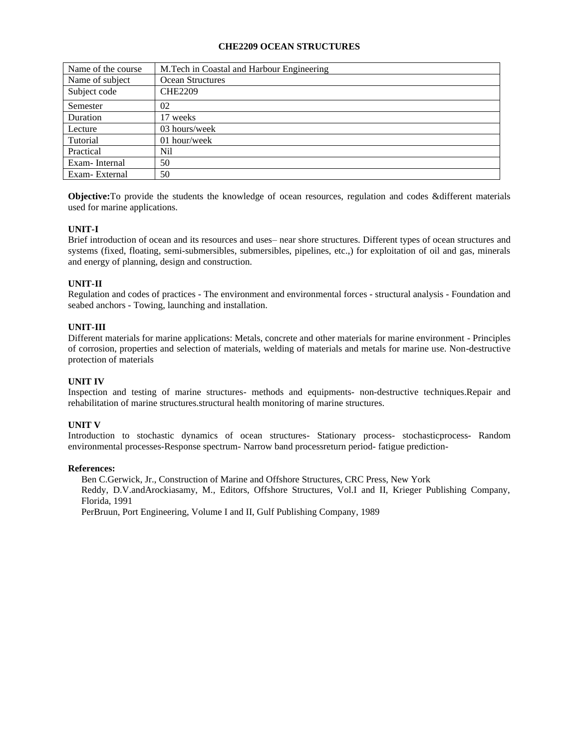# **CHE2209 OCEAN STRUCTURES**

| Name of the course | M. Tech in Coastal and Harbour Engineering |
|--------------------|--------------------------------------------|
| Name of subject    | Ocean Structures                           |
| Subject code       | <b>CHE2209</b>                             |
| Semester           | 02                                         |
| Duration           | 17 weeks                                   |
| Lecture            | 03 hours/week                              |
| Tutorial           | 01 hour/week                               |
| Practical          | Nil                                        |
| Exam-Internal      | 50                                         |
| Exam-External      | 50                                         |

**Objective:**To provide the students the knowledge of ocean resources, regulation and codes &different materials used for marine applications.

# **UNIT-I**

Brief introduction of ocean and its resources and uses– near shore structures. Different types of ocean structures and systems (fixed, floating, semi-submersibles, submersibles, pipelines, etc.,) for exploitation of oil and gas, minerals and energy of planning, design and construction.

# **UNIT-II**

Regulation and codes of practices - The environment and environmental forces - structural analysis - Foundation and seabed anchors - Towing, launching and installation.

## **UNIT-III**

Different materials for marine applications: Metals, concrete and other materials for marine environment - Principles of corrosion, properties and selection of materials, welding of materials and metals for marine use. Non-destructive protection of materials

### **UNIT IV**

Inspection and testing of marine structures- methods and equipments- non-destructive techniques.Repair and rehabilitation of marine structures.structural health monitoring of marine structures.

### **UNIT V**

Introduction to stochastic dynamics of ocean structures- Stationary process- stochasticprocess- Random environmental processes-Response spectrum- Narrow band processreturn period- fatigue prediction-

### **References:**

Ben C.Gerwick, Jr., Construction of Marine and Offshore Structures, CRC Press, New York Reddy, D.V.andArockiasamy, M., Editors, Offshore Structures, Vol.I and II, Krieger Publishing Company, Florida, 1991

PerBruun, Port Engineering, Volume I and II, Gulf Publishing Company, 1989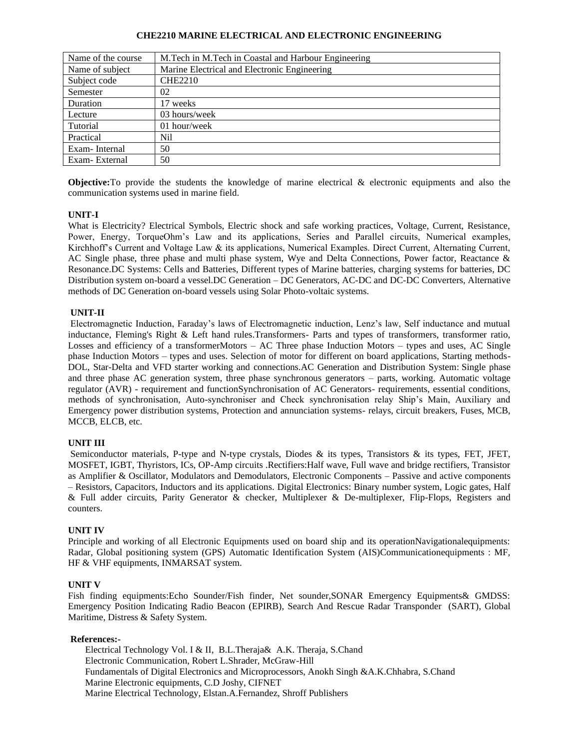### **CHE2210 MARINE ELECTRICAL AND ELECTRONIC ENGINEERING**

| Name of the course | M.Tech in M.Tech in Coastal and Harbour Engineering |
|--------------------|-----------------------------------------------------|
| Name of subject    | Marine Electrical and Electronic Engineering        |
| Subject code       | <b>CHE2210</b>                                      |
| Semester           | 02                                                  |
| Duration           | 17 weeks                                            |
| Lecture            | 03 hours/week                                       |
| Tutorial           | 01 hour/week                                        |
| Practical          | Nil                                                 |
| Exam-Internal      | 50                                                  |
| Exam-External      | 50                                                  |

**Objective:**To provide the students the knowledge of marine electrical & electronic equipments and also the communication systems used in marine field.

## **UNIT-I**

What is Electricity? Electrical Symbols, Electric shock and safe working practices, Voltage, Current, Resistance, Power, Energy, TorqueOhm's Law and its applications, Series and Parallel circuits, Numerical examples, Kirchhoff's Current and Voltage Law & its applications, Numerical Examples. Direct Current, Alternating Current, AC Single phase, three phase and multi phase system, Wye and Delta Connections, Power factor, Reactance & Resonance.DC Systems: Cells and Batteries, Different types of Marine batteries, charging systems for batteries, DC Distribution system on-board a vessel.DC Generation – DC Generators, AC-DC and DC-DC Converters, Alternative methods of DC Generation on-board vessels using Solar Photo-voltaic systems.

## **UNIT-II**

Electromagnetic Induction, Faraday's laws of Electromagnetic induction, Lenz's law, Self inductance and mutual inductance, Fleming's Right & Left hand rules.Transformers- Parts and types of transformers, transformer ratio, Losses and efficiency of a transformerMotors – AC Three phase Induction Motors – types and uses, AC Single phase Induction Motors – types and uses. Selection of motor for different on board applications, Starting methods-DOL, Star-Delta and VFD starter working and connections.AC Generation and Distribution System: Single phase and three phase AC generation system, three phase synchronous generators – parts, working. Automatic voltage regulator (AVR) - requirement and functionSynchronisation of AC Generators- requirements, essential conditions, methods of synchronisation, Auto-synchroniser and Check synchronisation relay Ship's Main, Auxiliary and Emergency power distribution systems, Protection and annunciation systems- relays, circuit breakers, Fuses, MCB, MCCB, ELCB, etc.

### **UNIT III**

Semiconductor materials, P-type and N-type crystals, Diodes & its types, Transistors & its types, FET, JFET, MOSFET, IGBT, Thyristors, ICs, OP-Amp circuits .Rectifiers:Half wave, Full wave and bridge rectifiers, Transistor as Amplifier & Oscillator, Modulators and Demodulators, Electronic Components – Passive and active components – Resistors, Capacitors, Inductors and its applications. Digital Electronics: Binary number system, Logic gates, Half & Full adder circuits, Parity Generator & checker, Multiplexer & De-multiplexer, Flip-Flops, Registers and counters.

# **UNIT IV**

Principle and working of all Electronic Equipments used on board ship and its operationNavigationalequipments: Radar, Global positioning system (GPS) Automatic Identification System (AIS)Communicationequipments : MF, HF & VHF equipments, INMARSAT system.

### **UNIT V**

Fish finding equipments:Echo Sounder/Fish finder, Net sounder,SONAR Emergency Equipments& GMDSS: Emergency Position Indicating Radio Beacon (EPIRB), Search And Rescue Radar Transponder (SART), Global Maritime, Distress & Safety System.

### **References:-**

Electrical Technology Vol. I & II, B.L.Theraja& A.K. Theraja, S.Chand Electronic Communication, Robert L.Shrader, McGraw-Hill Fundamentals of Digital Electronics and Microprocessors, Anokh Singh &A.K.Chhabra, S.Chand Marine Electronic equipments, C.D Joshy, CIFNET Marine Electrical Technology, Elstan.A.Fernandez, Shroff Publishers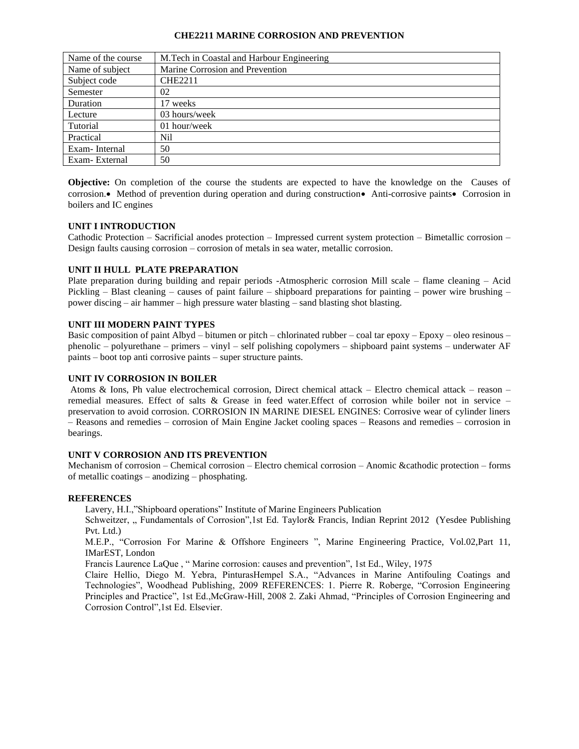#### **CHE2211 MARINE CORROSION AND PREVENTION**

| Name of the course | M.Tech in Coastal and Harbour Engineering |
|--------------------|-------------------------------------------|
| Name of subject    | Marine Corrosion and Prevention           |
| Subject code       | <b>CHE2211</b>                            |
| Semester           | 02                                        |
| Duration           | 17 weeks                                  |
| Lecture            | 03 hours/week                             |
| Tutorial           | 01 hour/week                              |
| Practical          | Nil                                       |
| Exam-Internal      | 50                                        |
| Exam-External      | 50                                        |

**Objective:** On completion of the course the students are expected to have the knowledge on the Causes of corrosion.• Method of prevention during operation and during construction• Anti-corrosive paints• Corrosion in boilers and IC engines

## **UNIT I INTRODUCTION**

Cathodic Protection – Sacrificial anodes protection – Impressed current system protection – Bimetallic corrosion – Design faults causing corrosion – corrosion of metals in sea water, metallic corrosion.

## **UNIT II HULL PLATE PREPARATION**

Plate preparation during building and repair periods -Atmospheric corrosion Mill scale – flame cleaning – Acid Pickling – Blast cleaning – causes of paint failure – shipboard preparations for painting – power wire brushing – power discing – air hammer – high pressure water blasting – sand blasting shot blasting.

## **UNIT III MODERN PAINT TYPES**

Basic composition of paint Albyd – bitumen or pitch – chlorinated rubber – coal tar epoxy – Epoxy – oleo resinous – phenolic – polyurethane – primers – vinyl – self polishing copolymers – shipboard paint systems – underwater AF paints – boot top anti corrosive paints – super structure paints.

### **UNIT IV CORROSION IN BOILER**

Atoms & Ions, Ph value electrochemical corrosion, Direct chemical attack – Electro chemical attack – reason – remedial measures. Effect of salts & Grease in feed water.Effect of corrosion while boiler not in service – preservation to avoid corrosion. CORROSION IN MARINE DIESEL ENGINES: Corrosive wear of cylinder liners – Reasons and remedies – corrosion of Main Engine Jacket cooling spaces – Reasons and remedies – corrosion in bearings.

# **UNIT V CORROSION AND ITS PREVENTION**

Mechanism of corrosion – Chemical corrosion – Electro chemical corrosion – Anomic &cathodic protection – forms of metallic coatings – anodizing – phosphating.

### **REFERENCES**

Lavery, H.I.,"Shipboard operations" Institute of Marine Engineers Publication

Schweitzer, " Fundamentals of Corrosion",1st Ed. Taylor& Francis, Indian Reprint 2012 (Yesdee Publishing Pvt. Ltd.)

M.E.P., "Corrosion For Marine & Offshore Engineers ", Marine Engineering Practice, Vol.02,Part 11, IMarEST, London

Francis Laurence LaQue , " Marine corrosion: causes and prevention", 1st Ed., Wiley, 1975

Claire Hellio, Diego M. Yebra, PinturasHempel S.A., "Advances in Marine Antifouling Coatings and Technologies", Woodhead Publishing, 2009 REFERENCES: 1. Pierre R. Roberge, "Corrosion Engineering Principles and Practice", 1st Ed.,McGraw-Hill, 2008 2. Zaki Ahmad, "Principles of Corrosion Engineering and Corrosion Control",1st Ed. Elsevier.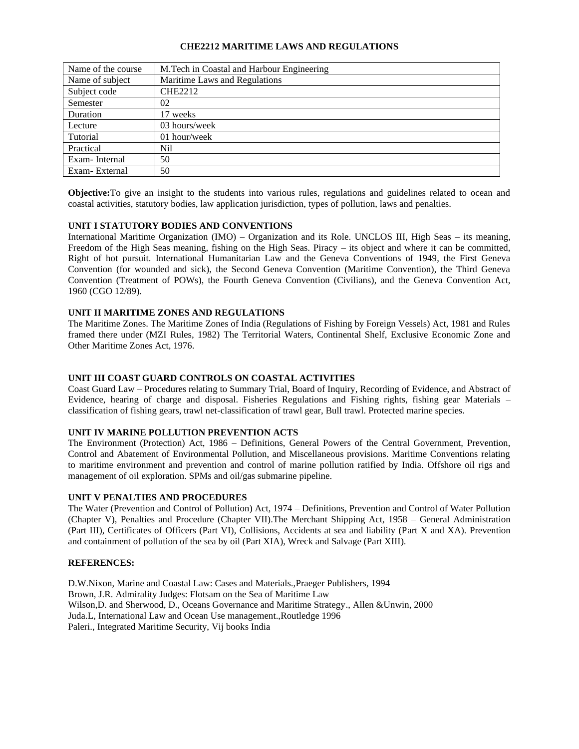## **CHE2212 MARITIME LAWS AND REGULATIONS**

| Name of the course | M. Tech in Coastal and Harbour Engineering |
|--------------------|--------------------------------------------|
| Name of subject    | Maritime Laws and Regulations              |
| Subject code       | <b>CHE2212</b>                             |
| Semester           | 02                                         |
| Duration           | 17 weeks                                   |
| Lecture            | 03 hours/week                              |
| Tutorial           | 01 hour/week                               |
| Practical          | Nil                                        |
| Exam-Internal      | 50                                         |
| Exam-External      | 50                                         |

**Objective:**To give an insight to the students into various rules, regulations and guidelines related to ocean and coastal activities, statutory bodies, law application jurisdiction, types of pollution, laws and penalties.

## **UNIT I STATUTORY BODIES AND CONVENTIONS**

International Maritime Organization (IMO) – Organization and its Role. UNCLOS III, High Seas – its meaning, Freedom of the High Seas meaning, fishing on the High Seas. Piracy – its object and where it can be committed, Right of hot pursuit. International Humanitarian Law and the Geneva Conventions of 1949, the First Geneva Convention (for wounded and sick), the Second Geneva Convention (Maritime Convention), the Third Geneva Convention (Treatment of POWs), the Fourth Geneva Convention (Civilians), and the Geneva Convention Act, 1960 (CGO 12/89).

## **UNIT II MARITIME ZONES AND REGULATIONS**

The Maritime Zones. The Maritime Zones of India (Regulations of Fishing by Foreign Vessels) Act, 1981 and Rules framed there under (MZI Rules, 1982) The Territorial Waters, Continental Shelf, Exclusive Economic Zone and Other Maritime Zones Act, 1976.

### **UNIT III COAST GUARD CONTROLS ON COASTAL ACTIVITIES**

Coast Guard Law – Procedures relating to Summary Trial, Board of Inquiry, Recording of Evidence, and Abstract of Evidence, hearing of charge and disposal. Fisheries Regulations and Fishing rights, fishing gear Materials – classification of fishing gears, trawl net-classification of trawl gear, Bull trawl. Protected marine species.

## **UNIT IV MARINE POLLUTION PREVENTION ACTS**

The Environment (Protection) Act, 1986 – Definitions, General Powers of the Central Government, Prevention, Control and Abatement of Environmental Pollution, and Miscellaneous provisions. Maritime Conventions relating to maritime environment and prevention and control of marine pollution ratified by India. Offshore oil rigs and management of oil exploration. SPMs and oil/gas submarine pipeline.

### **UNIT V PENALTIES AND PROCEDURES**

The Water (Prevention and Control of Pollution) Act, 1974 – Definitions, Prevention and Control of Water Pollution (Chapter V), Penalties and Procedure (Chapter VII).The Merchant Shipping Act, 1958 – General Administration (Part III), Certificates of Officers (Part VI), Collisions, Accidents at sea and liability (Part X and XA). Prevention and containment of pollution of the sea by oil (Part XIA), Wreck and Salvage (Part XIII).

### **REFERENCES:**

D.W.Nixon, Marine and Coastal Law: Cases and Materials.,Praeger Publishers, 1994 Brown, J.R. Admirality Judges: Flotsam on the Sea of Maritime Law Wilson,D. and Sherwood, D., Oceans Governance and Maritime Strategy., Allen &Unwin, 2000 Juda.L, International Law and Ocean Use management.,Routledge 1996 Paleri., Integrated Maritime Security, Vij books India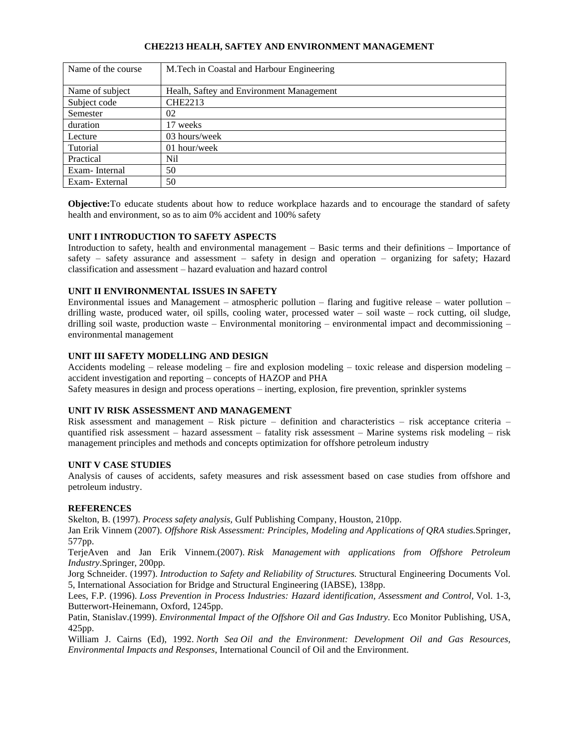# **CHE2213 HEALH, SAFTEY AND ENVIRONMENT MANAGEMENT**

| Name of the course | M.Tech in Coastal and Harbour Engineering |
|--------------------|-------------------------------------------|
| Name of subject    | Healh, Saftey and Environment Management  |
| Subject code       | <b>CHE2213</b>                            |
| Semester           | 02                                        |
| duration           | 17 weeks                                  |
| Lecture            | 03 hours/week                             |
| Tutorial           | 01 hour/week                              |
| Practical          | Nil                                       |
| Exam-Internal      | 50                                        |
| Exam-External      | 50                                        |

**Objective:**To educate students about how to reduce workplace hazards and to encourage the standard of safety health and environment, so as to aim 0% accident and 100% safety

## **UNIT I INTRODUCTION TO SAFETY ASPECTS**

Introduction to safety, health and environmental management – Basic terms and their definitions – Importance of safety – safety assurance and assessment – safety in design and operation – organizing for safety; Hazard classification and assessment – hazard evaluation and hazard control

# **UNIT II ENVIRONMENTAL ISSUES IN SAFETY**

Environmental issues and Management – atmospheric pollution – flaring and fugitive release – water pollution – drilling waste, produced water, oil spills, cooling water, processed water – soil waste – rock cutting, oil sludge, drilling soil waste, production waste – Environmental monitoring – environmental impact and decommissioning – environmental management

## **UNIT III SAFETY MODELLING AND DESIGN**

Accidents modeling – release modeling – fire and explosion modeling – toxic release and dispersion modeling – accident investigation and reporting – concepts of HAZOP and PHA

Safety measures in design and process operations – inerting, explosion, fire prevention, sprinkler systems

### **UNIT IV RISK ASSESSMENT AND MANAGEMENT**

Risk assessment and management – Risk picture – definition and characteristics – risk acceptance criteria – quantified risk assessment – hazard assessment – fatality risk assessment – Marine systems risk modeling – risk management principles and methods and concepts optimization for offshore petroleum industry

### **UNIT V CASE STUDIES**

Analysis of causes of accidents, safety measures and risk assessment based on case studies from offshore and petroleum industry.

### **REFERENCES**

Skelton, B. (1997). *Process safety analysis,* Gulf Publishing Company, Houston, 210pp.

Jan Erik Vinnem (2007). *Offshore Risk Assessment: Principles, Modeling and Applications of QRA studies.*Springer, 577pp.

TerjeAven and Jan Erik Vinnem.(2007). *Risk Management with applications from Offshore Petroleum Industry*.Springer, 200pp.

Jorg Schneider. (1997). *Introduction to Safety and Reliability of Structures.* Structural Engineering Documents Vol. 5, International Association for Bridge and Structural Engineering (IABSE), 138pp.

Lees, F.P. (1996). *Loss Prevention in Process Industries: Hazard identification, Assessment and Control,* Vol. 1-3, Butterwort-Heinemann, Oxford, 1245pp.

Patin, Stanislav.(1999). *Environmental Impact of the Offshore Oil and Gas Industry.* Eco Monitor Publishing, USA, 425pp.

William J. Cairns (Ed), 1992. *North Sea Oil and the Environment: Development Oil and Gas Resources, Environmental Impacts and Responses*, International Council of Oil and the Environment.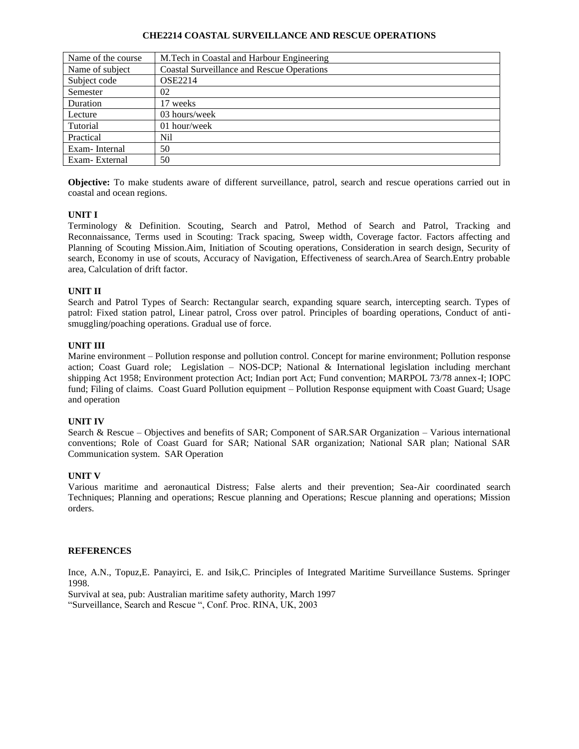### **CHE2214 COASTAL SURVEILLANCE AND RESCUE OPERATIONS**

| Name of the course | M.Tech in Coastal and Harbour Engineering         |
|--------------------|---------------------------------------------------|
| Name of subject    | <b>Coastal Surveillance and Rescue Operations</b> |
| Subject code       | <b>OSE2214</b>                                    |
| Semester           | 02                                                |
| Duration           | 17 weeks                                          |
| Lecture            | 03 hours/week                                     |
| Tutorial           | 01 hour/week                                      |
| Practical          | Nil                                               |
| Exam-Internal      | 50                                                |
| Exam-External      | 50                                                |

**Objective:** To make students aware of different surveillance, patrol, search and rescue operations carried out in coastal and ocean regions.

## **UNIT I**

Terminology & Definition. Scouting, Search and Patrol, Method of Search and Patrol, Tracking and Reconnaissance, Terms used in Scouting: Track spacing, Sweep width, Coverage factor. Factors affecting and Planning of Scouting Mission.Aim, Initiation of Scouting operations, Consideration in search design, Security of search, Economy in use of scouts, Accuracy of Navigation, Effectiveness of search.Area of Search.Entry probable area, Calculation of drift factor.

## **UNIT II**

Search and Patrol Types of Search: Rectangular search, expanding square search, intercepting search. Types of patrol: Fixed station patrol, Linear patrol, Cross over patrol. Principles of boarding operations, Conduct of antismuggling/poaching operations. Gradual use of force.

## **UNIT III**

Marine environment – Pollution response and pollution control. Concept for marine environment; Pollution response action; Coast Guard role; Legislation – NOS-DCP; National & International legislation including merchant shipping Act 1958; Environment protection Act; Indian port Act; Fund convention; MARPOL 73/78 annex-I; IOPC fund; Filing of claims. Coast Guard Pollution equipment – Pollution Response equipment with Coast Guard; Usage and operation

### **UNIT IV**

Search & Rescue – Objectives and benefits of SAR; Component of SAR.SAR Organization – Various international conventions; Role of Coast Guard for SAR; National SAR organization; National SAR plan; National SAR Communication system. SAR Operation

### **UNIT V**

Various maritime and aeronautical Distress; False alerts and their prevention; Sea-Air coordinated search Techniques; Planning and operations; Rescue planning and Operations; Rescue planning and operations; Mission orders.

### **REFERENCES**

Ince, A.N., Topuz,E. Panayirci, E. and Isik,C. Principles of Integrated Maritime Surveillance Sustems. Springer 1998.

Survival at sea, pub: Australian maritime safety authority, March 1997 "Surveillance, Search and Rescue ", Conf. Proc. RINA, UK, 2003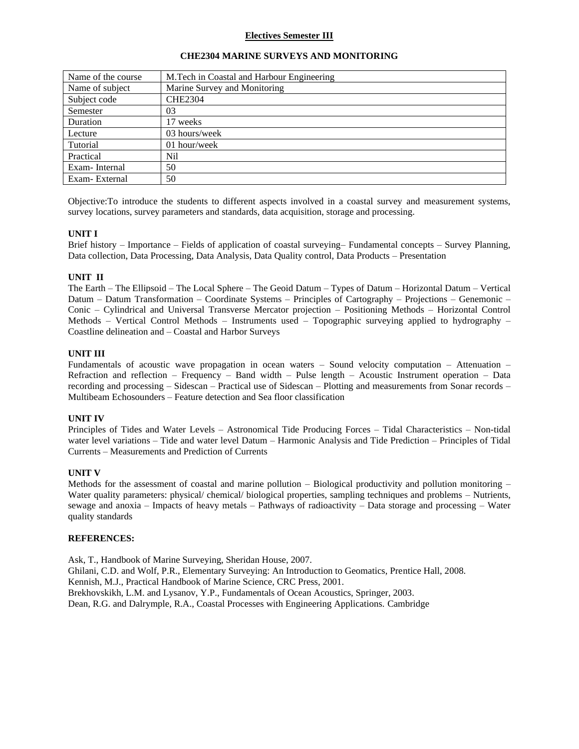## **Electives Semester III**

| Name of the course | M. Tech in Coastal and Harbour Engineering |
|--------------------|--------------------------------------------|
| Name of subject    | Marine Survey and Monitoring               |
| Subject code       | <b>CHE2304</b>                             |
| Semester           | 03                                         |
| Duration           | 17 weeks                                   |
| Lecture            | 03 hours/week                              |
| Tutorial           | 01 hour/week                               |
| Practical          | Nil                                        |
| Exam-Internal      | 50                                         |
| Exam-External      | 50                                         |

#### **CHE2304 MARINE SURVEYS AND MONITORING**

Objective:To introduce the students to different aspects involved in a coastal survey and measurement systems, survey locations, survey parameters and standards, data acquisition, storage and processing.

### **UNIT I**

Brief history – Importance – Fields of application of coastal surveying– Fundamental concepts – Survey Planning, Data collection, Data Processing, Data Analysis, Data Quality control, Data Products – Presentation

#### **UNIT II**

The Earth – The Ellipsoid – The Local Sphere – The Geoid Datum – Types of Datum – Horizontal Datum – Vertical Datum – Datum Transformation – Coordinate Systems – Principles of Cartography – Projections – Genemonic – Conic – Cylindrical and Universal Transverse Mercator projection – Positioning Methods – Horizontal Control Methods – Vertical Control Methods – Instruments used – Topographic surveying applied to hydrography – Coastline delineation and – Coastal and Harbor Surveys

#### **UNIT III**

Fundamentals of acoustic wave propagation in ocean waters – Sound velocity computation – Attenuation – Refraction and reflection – Frequency – Band width – Pulse length – Acoustic Instrument operation – Data recording and processing – Sidescan – Practical use of Sidescan – Plotting and measurements from Sonar records – Multibeam Echosounders – Feature detection and Sea floor classification

### **UNIT IV**

Principles of Tides and Water Levels – Astronomical Tide Producing Forces – Tidal Characteristics – Non-tidal water level variations – Tide and water level Datum – Harmonic Analysis and Tide Prediction – Principles of Tidal Currents – Measurements and Prediction of Currents

### **UNIT V**

Methods for the assessment of coastal and marine pollution – Biological productivity and pollution monitoring – Water quality parameters: physical/ chemical/ biological properties, sampling techniques and problems – Nutrients, sewage and anoxia – Impacts of heavy metals – Pathways of radioactivity – Data storage and processing – Water quality standards

#### **REFERENCES:**

Ask, T., Handbook of Marine Surveying, Sheridan House, 2007. Ghilani, C.D. and Wolf, P.R., Elementary Surveying: An Introduction to Geomatics, Prentice Hall, 2008. Kennish, M.J., Practical Handbook of Marine Science, CRC Press, 2001. Brekhovskikh, L.M. and Lysanov, Y.P., Fundamentals of Ocean Acoustics, Springer, 2003. Dean, R.G. and Dalrymple, R.A., Coastal Processes with Engineering Applications. Cambridge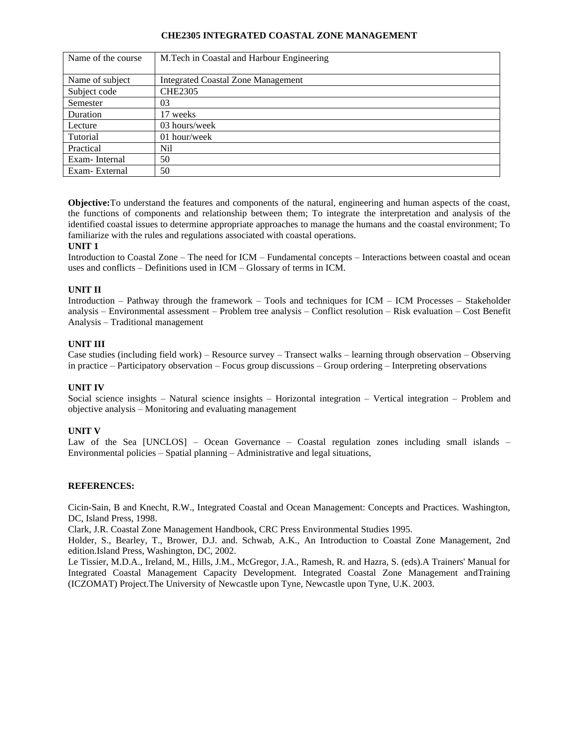### **CHE2305 INTEGRATED COASTAL ZONE MANAGEMENT**

| Name of the course | M.Tech in Coastal and Harbour Engineering |
|--------------------|-------------------------------------------|
|                    |                                           |
| Name of subject    | <b>Integrated Coastal Zone Management</b> |
| Subject code       | <b>CHE2305</b>                            |
| Semester           | 03                                        |
| Duration           | 17 weeks                                  |
| Lecture            | 03 hours/week                             |
| Tutorial           | 01 hour/week                              |
| Practical          | Nil                                       |
| Exam-Internal      | 50                                        |
| Exam-External      | 50                                        |

**Objective:**To understand the features and components of the natural, engineering and human aspects of the coast, the functions of components and relationship between them; To integrate the interpretation and analysis of the identified coastal issues to determine appropriate approaches to manage the humans and the coastal environment; To familiarize with the rules and regulations associated with coastal operations.

## **UNIT 1**

Introduction to Coastal Zone – The need for ICM – Fundamental concepts – Interactions between coastal and ocean uses and conflicts – Definitions used in ICM – Glossary of terms in ICM.

## **UNIT II**

Introduction – Pathway through the framework – Tools and techniques for ICM – ICM Processes – Stakeholder analysis – Environmental assessment – Problem tree analysis – Conflict resolution – Risk evaluation – Cost Benefit Analysis – Traditional management

## **UNIT III**

Case studies (including field work) – Resource survey – Transect walks – learning through observation – Observing in practice – Participatory observation – Focus group discussions – Group ordering – Interpreting observations

### **UNIT IV**

Social science insights – Natural science insights – Horizontal integration – Vertical integration – Problem and objective analysis – Monitoring and evaluating management

### **UNIT V**

Law of the Sea [UNCLOS] – Ocean Governance – Coastal regulation zones including small islands – Environmental policies – Spatial planning – Administrative and legal situations,

### **REFERENCES:**

Cicin-Sain, B and Knecht, R.W., Integrated Coastal and Ocean Management: Concepts and Practices. Washington, DC, Island Press, 1998.

Clark, J.R. Coastal Zone Management Handbook, CRC Press Environmental Studies 1995.

Holder, S., Bearley, T., Brower, D.J. and. Schwab, A.K., An Introduction to Coastal Zone Management, 2nd edition.Island Press, Washington, DC, 2002.

Le Tissier, M.D.A., Ireland, M., Hills, J.M., McGregor, J.A., Ramesh, R. and Hazra, S. (eds).A Trainers' Manual for Integrated Coastal Management Capacity Development. Integrated Coastal Zone Management andTraining (ICZOMAT) Project.The University of Newcastle upon Tyne, Newcastle upon Tyne, U.K. 2003.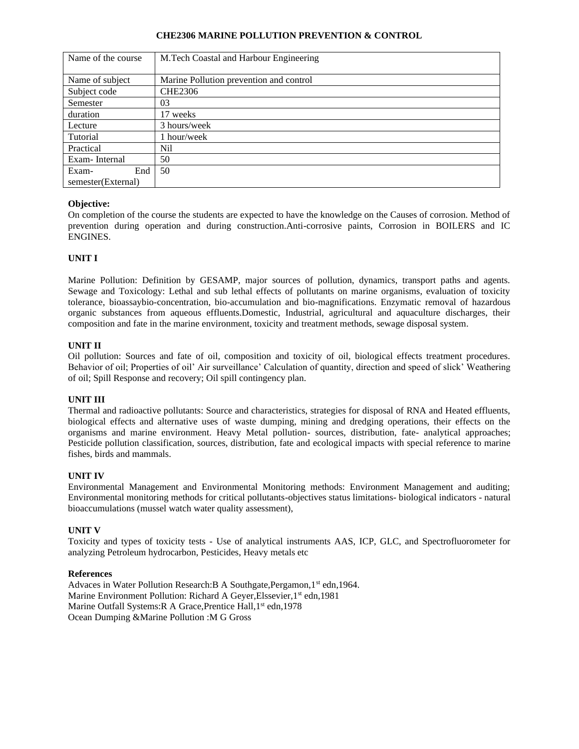## **CHE2306 MARINE POLLUTION PREVENTION & CONTROL**

| Name of the course | M.Tech Coastal and Harbour Engineering  |
|--------------------|-----------------------------------------|
|                    |                                         |
| Name of subject    | Marine Pollution prevention and control |
| Subject code       | <b>CHE2306</b>                          |
| Semester           | 03                                      |
| duration           | 17 weeks                                |
| Lecture            | 3 hours/week                            |
| Tutorial           | 1 hour/week                             |
| Practical          | Nil                                     |
| Exam-Internal      | 50                                      |
| End<br>Exam-       | 50                                      |
| semester(External) |                                         |

# **Objective:**

On completion of the course the students are expected to have the knowledge on the Causes of corrosion. Method of prevention during operation and during construction.Anti-corrosive paints, Corrosion in BOILERS and IC ENGINES.

# **UNIT I**

Marine Pollution: Definition by GESAMP, major sources of pollution, dynamics, transport paths and agents. Sewage and Toxicology: Lethal and sub lethal effects of pollutants on marine organisms, evaluation of toxicity tolerance, bioassaybio-concentration, bio-accumulation and bio-magnifications. Enzymatic removal of hazardous organic substances from aqueous effluents.Domestic, Industrial, agricultural and aquaculture discharges, their composition and fate in the marine environment, toxicity and treatment methods, sewage disposal system.

# **UNIT II**

Oil pollution: Sources and fate of oil, composition and toxicity of oil, biological effects treatment procedures. Behavior of oil; Properties of oil' Air surveillance' Calculation of quantity, direction and speed of slick' Weathering of oil; Spill Response and recovery; Oil spill contingency plan.

# **UNIT III**

Thermal and radioactive pollutants: Source and characteristics, strategies for disposal of RNA and Heated effluents, biological effects and alternative uses of waste dumping, mining and dredging operations, their effects on the organisms and marine environment. Heavy Metal pollution- sources, distribution, fate- analytical approaches; Pesticide pollution classification, sources, distribution, fate and ecological impacts with special reference to marine fishes, birds and mammals.

# **UNIT IV**

Environmental Management and Environmental Monitoring methods: Environment Management and auditing; Environmental monitoring methods for critical pollutants-objectives status limitations- biological indicators - natural bioaccumulations (mussel watch water quality assessment),

# **UNIT V**

Toxicity and types of toxicity tests - Use of analytical instruments AAS, ICP, GLC, and Spectrofluorometer for analyzing Petroleum hydrocarbon, Pesticides, Heavy metals etc

# **References**

Advaces in Water Pollution Research: B A Southgate, Pergamon, 1<sup>st</sup> edn, 1964. Marine Environment Pollution: Richard A Geyer, Elssevier, 1<sup>st</sup> edn, 1981 Marine Outfall Systems: R A Grace, Prentice Hall, 1<sup>st</sup> edn, 1978 Ocean Dumping &Marine Pollution :M G Gross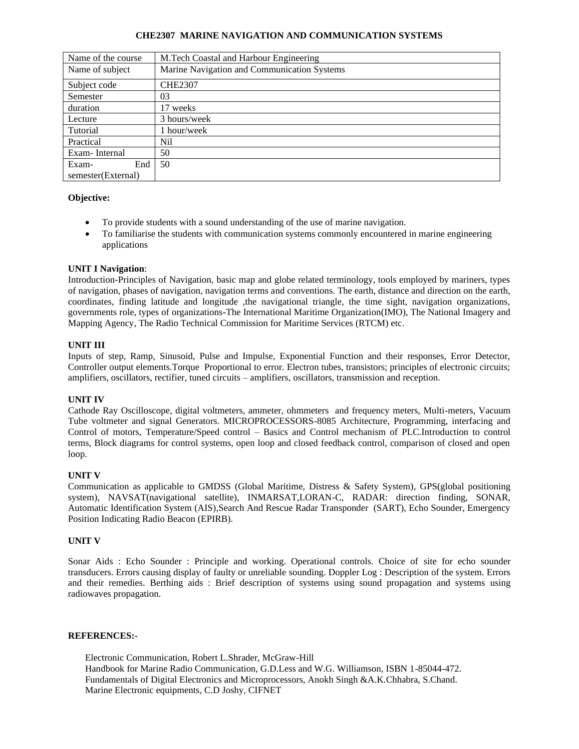## **CHE2307 MARINE NAVIGATION AND COMMUNICATION SYSTEMS**

| Name of the course | M.Tech Coastal and Harbour Engineering      |
|--------------------|---------------------------------------------|
| Name of subject    | Marine Navigation and Communication Systems |
| Subject code       | <b>CHE2307</b>                              |
| Semester           | 03                                          |
| duration           | 17 weeks                                    |
| Lecture            | 3 hours/week                                |
| Tutorial           | hour/week                                   |
| Practical          | Nil                                         |
| Exam-Internal      | 50                                          |
| End<br>Exam-       | 50                                          |
| semester(External) |                                             |

## **Objective:**

- To provide students with a sound understanding of the use of marine navigation.
- To familiarise the students with communication systems commonly encountered in marine engineering applications

## **UNIT I Navigation**:

Introduction-Principles of Navigation, basic map and globe related terminology, tools employed by mariners, types of navigation, phases of navigation, navigation terms and conventions. The earth, distance and direction on the earth, coordinates, finding latitude and longitude ,the navigational triangle, the time sight, navigation organizations, governments role, types of organizations**-**The International Maritime Organization(IMO), The National Imagery and Mapping Agency, The Radio Technical Commission for Maritime Services (RTCM) etc.

## **UNIT III**

Inputs of step, Ramp, Sinusoid, Pulse and Impulse, Exponential Function and their responses, Error Detector, Controller output elements.Torque Proportional to error. Electron tubes, transistors; principles of electronic circuits; amplifiers, oscillators, rectifier, tuned circuits – amplifiers, oscillators, transmission and reception.

# **UNIT IV**

Cathode Ray Oscilloscope, digital voltmeters, ammeter, ohmmeters and frequency meters, Multi-meters, Vacuum Tube voltmeter and signal Generators. MICROPROCESSORS-8085 Architecture, Programming, interfacing and Control of motors, Temperature/Speed control – Basics and Control mechanism of PLC.Introduction to control terms, Block diagrams for control systems, open loop and closed feedback control, comparison of closed and open loop.

# **UNIT V**

Communication as applicable to GMDSS (Global Maritime, Distress & Safety System), GPS(global positioning system), NAVSAT(navigational satellite), INMARSAT,LORAN-C, RADAR: direction finding, SONAR, Automatic Identification System (AIS),Search And Rescue Radar Transponder (SART), Echo Sounder, Emergency Position Indicating Radio Beacon (EPIRB).

# **UNIT V**

Sonar Aids : Echo Sounder : Principle and working. Operational controls. Choice of site for echo sounder transducers. Errors causing display of faulty or unreliable sounding. Doppler Log : Description of the system. Errors and their remedies. Berthing aids : Brief description of systems using sound propagation and systems using radiowaves propagation.

### **REFERENCES:-**

Electronic Communication, Robert L.Shrader, McGraw-Hill Handbook for Marine Radio Communication, G.D.Less and W.G. Williamson, ISBN 1-85044-472. Fundamentals of Digital Electronics and Microprocessors, Anokh Singh &A.K.Chhabra, S.Chand. Marine Electronic equipments, C.D Joshy, CIFNET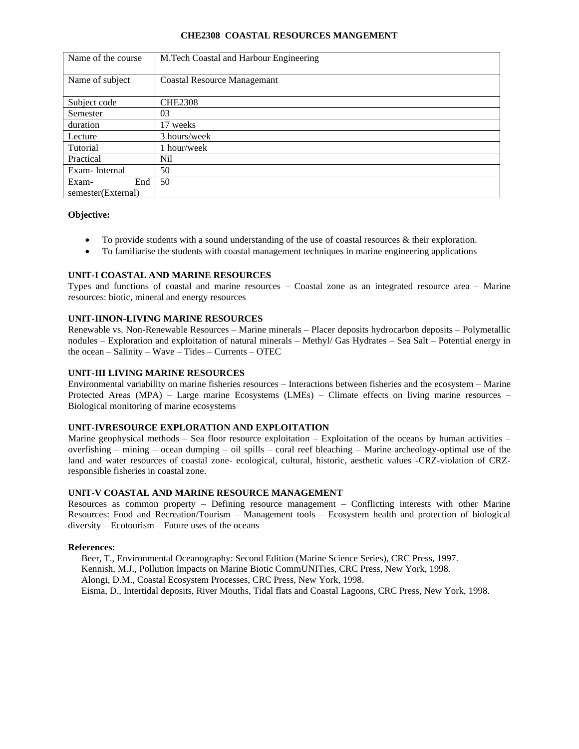### **CHE2308 COASTAL RESOURCES MANGEMENT**

| Name of the course | M.Tech Coastal and Harbour Engineering |
|--------------------|----------------------------------------|
| Name of subject    | <b>Coastal Resource Managemant</b>     |
| Subject code       | <b>CHE2308</b>                         |
| Semester           | 03                                     |
| duration           | 17 weeks                               |
| Lecture            | 3 hours/week                           |
| Tutorial           | 1 hour/week                            |
| Practical          | Nil                                    |
| Exam-Internal      | 50                                     |
| Exam-<br>End       | 50                                     |
| semester(External) |                                        |

### **Objective:**

- To provide students with a sound understanding of the use of coastal resources & their exploration.
- To familiarise the students with coastal management techniques in marine engineering applications

## **UNIT-I COASTAL AND MARINE RESOURCES**

Types and functions of coastal and marine resources – Coastal zone as an integrated resource area – Marine resources: biotic, mineral and energy resources

### **UNIT-IINON-LIVING MARINE RESOURCES**

Renewable vs. Non-Renewable Resources – Marine minerals – Placer deposits hydrocarbon deposits – Polymetallic nodules – Exploration and exploitation of natural minerals – Methyl/ Gas Hydrates – Sea Salt – Potential energy in the ocean – Salinity – Wave – Tides – Currents – OTEC

### **UNIT-III LIVING MARINE RESOURCES**

Environmental variability on marine fisheries resources – Interactions between fisheries and the ecosystem – Marine Protected Areas (MPA) – Large marine Ecosystems (LMEs) – Climate effects on living marine resources – Biological monitoring of marine ecosystems

### **UNIT-IVRESOURCE EXPLORATION AND EXPLOITATION**

Marine geophysical methods – Sea floor resource exploitation – Exploitation of the oceans by human activities – overfishing – mining – ocean dumping – oil spills – coral reef bleaching – Marine archeology-optimal use of the land and water resources of coastal zone- ecological, cultural, historic, aesthetic values -CRZ-violation of CRZresponsible fisheries in coastal zone.

#### **UNIT-V COASTAL AND MARINE RESOURCE MANAGEMENT**

Resources as common property – Defining resource management – Conflicting interests with other Marine Resources: Food and Recreation/Tourism – Management tools – Ecosystem health and protection of biological diversity – Ecotourism – Future uses of the oceans

#### **References:**

Beer, T., Environmental Oceanography: Second Edition (Marine Science Series), CRC Press, 1997. Kennish, M.J., Pollution Impacts on Marine Biotic CommUNITies, CRC Press, New York, 1998. Alongi, D.M., Coastal Ecosystem Processes, CRC Press, New York, 1998. Eisma, D., Intertidal deposits, River Mouths, Tidal flats and Coastal Lagoons, CRC Press, New York, 1998.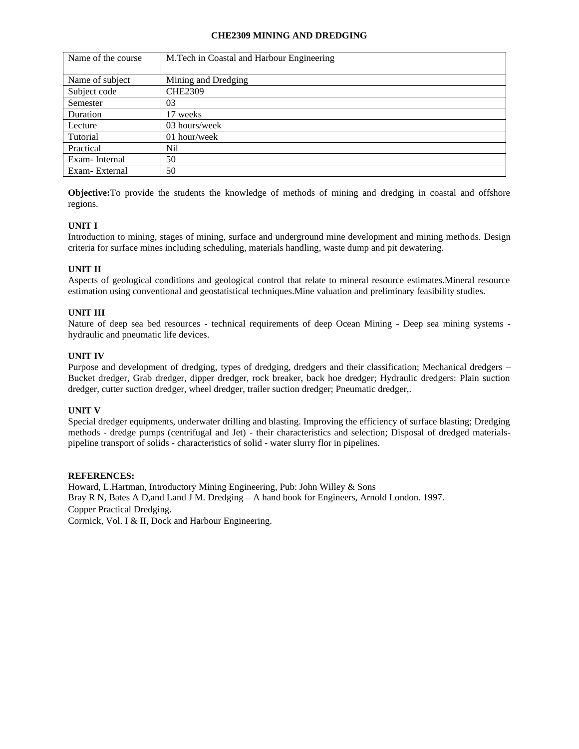## **CHE2309 MINING AND DREDGING**

| Name of the course | M. Tech in Coastal and Harbour Engineering |
|--------------------|--------------------------------------------|
| Name of subject    | Mining and Dredging                        |
| Subject code       | <b>CHE2309</b>                             |
| Semester           | 03                                         |
| Duration           | 17 weeks                                   |
| Lecture            | 03 hours/week                              |
| Tutorial           | 01 hour/week                               |
| Practical          | Nil                                        |
| Exam-Internal      | 50                                         |
| Exam-External      | 50                                         |

**Objective:**To provide the students the knowledge of methods of mining and dredging in coastal and offshore regions.

# **UNIT I**

Introduction to mining, stages of mining, surface and underground mine development and mining methods. Design criteria for surface mines including scheduling, materials handling, waste dump and pit dewatering.

## **UNIT II**

Aspects of geological conditions and geological control that relate to mineral resource estimates.Mineral resource estimation using conventional and geostatistical techniques.Mine valuation and preliminary feasibility studies.

## **UNIT III**

Nature of deep sea bed resources - technical requirements of deep Ocean Mining - Deep sea mining systems hydraulic and pneumatic life devices.

## **UNIT IV**

Purpose and development of dredging, types of dredging, dredgers and their classification; Mechanical dredgers – Bucket dredger, Grab dredger, dipper dredger, rock breaker, back hoe dredger; Hydraulic dredgers: Plain suction dredger, cutter suction dredger, wheel dredger, trailer suction dredger; Pneumatic dredger,.

### **UNIT V**

Special dredger equipments, underwater drilling and blasting. Improving the efficiency of surface blasting; Dredging methods - dredge pumps (centrifugal and Jet) - their characteristics and selection; Disposal of dredged materialspipeline transport of solids - characteristics of solid - water slurry flor in pipelines.

### **REFERENCES:**

Howard, L.Hartman, Introductory Mining Engineering, Pub: John Willey & Sons Bray R N, Bates A D,and Land J M. Dredging – A hand book for Engineers, Arnold London. 1997. Copper Practical Dredging.

Cormick, Vol. I & II, Dock and Harbour Engineering.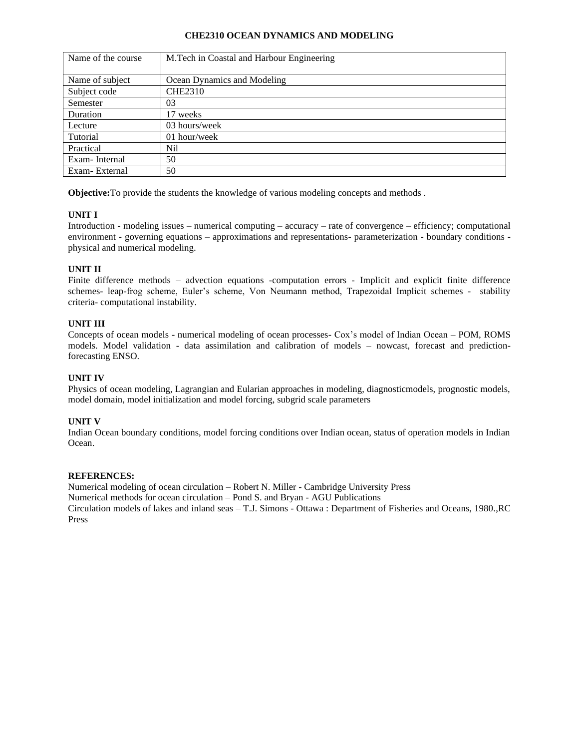## **CHE2310 OCEAN DYNAMICS AND MODELING**

| Name of the course | M. Tech in Coastal and Harbour Engineering |  |  |
|--------------------|--------------------------------------------|--|--|
|                    |                                            |  |  |
| Name of subject    | Ocean Dynamics and Modeling                |  |  |
| Subject code       | <b>CHE2310</b>                             |  |  |
| Semester           | 03                                         |  |  |
| Duration           | 17 weeks                                   |  |  |
| Lecture            | 03 hours/week                              |  |  |
| Tutorial           | 01 hour/week                               |  |  |
| Practical          | Nil                                        |  |  |
| Exam-Internal      | 50                                         |  |  |
| Exam-External      | 50                                         |  |  |

**Objective:**To provide the students the knowledge of various modeling concepts and methods .

## **UNIT I**

Introduction - modeling issues – numerical computing – accuracy – rate of convergence – efficiency; computational environment - governing equations – approximations and representations- parameterization - boundary conditions physical and numerical modeling.

## **UNIT II**

Finite difference methods – advection equations -computation errors - Implicit and explicit finite difference schemes- leap-frog scheme, Euler's scheme, Von Neumann method, Trapezoidal Implicit schemes - stability criteria- computational instability.

## **UNIT III**

Concepts of ocean models - numerical modeling of ocean processes- Cox's model of Indian Ocean – POM, ROMS models. Model validation - data assimilation and calibration of models – nowcast, forecast and predictionforecasting ENSO.

## **UNIT IV**

Physics of ocean modeling, Lagrangian and Eularian approaches in modeling, diagnosticmodels, prognostic models, model domain, model initialization and model forcing, subgrid scale parameters

# **UNIT V**

Indian Ocean boundary conditions, model forcing conditions over Indian ocean, status of operation models in Indian Ocean.

### **REFERENCES:**

Numerical modeling of ocean circulation – Robert N. Miller - Cambridge University Press

Numerical methods for ocean circulation – Pond S. and Bryan - AGU Publications

Circulation models of lakes and inland seas – T.J. Simons - Ottawa : Department of Fisheries and Oceans, 1980.,RC Press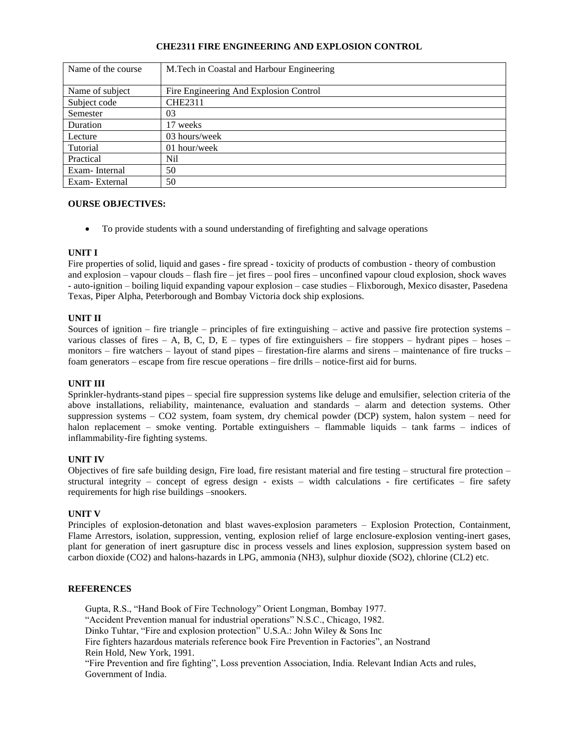## **CHE2311 FIRE ENGINEERING AND EXPLOSION CONTROL**

| Name of the course | M.Tech in Coastal and Harbour Engineering |
|--------------------|-------------------------------------------|
| Name of subject    | Fire Engineering And Explosion Control    |
|                    |                                           |
| Subject code       | <b>CHE2311</b>                            |
| Semester           | 03                                        |
| Duration           | 17 weeks                                  |
| Lecture            | 03 hours/week                             |
| Tutorial           | 01 hour/week                              |
| Practical          | Nil                                       |
| Exam-Internal      | 50                                        |
| Exam-External      | 50                                        |

### **OURSE OBJECTIVES:**

• To provide students with a sound understanding of firefighting and salvage operations

## **UNIT I**

Fire properties of solid, liquid and gases - fire spread - toxicity of products of combustion - theory of combustion and explosion – vapour clouds – flash fire – jet fires – pool fires – unconfined vapour cloud explosion, shock waves - auto-ignition – boiling liquid expanding vapour explosion – case studies – Flixborough, Mexico disaster, Pasedena Texas, Piper Alpha, Peterborough and Bombay Victoria dock ship explosions.

## **UNIT II**

Sources of ignition – fire triangle – principles of fire extinguishing – active and passive fire protection systems – various classes of fires  $- A$ , B, C, D, E – types of fire extinguishers – fire stoppers – hydrant pipes – hoses – monitors – fire watchers – layout of stand pipes – firestation-fire alarms and sirens – maintenance of fire trucks – foam generators – escape from fire rescue operations – fire drills – notice-first aid for burns.

### **UNIT III**

Sprinkler-hydrants-stand pipes – special fire suppression systems like deluge and emulsifier, selection criteria of the above installations, reliability, maintenance, evaluation and standards – alarm and detection systems. Other suppression systems – CO2 system, foam system, dry chemical powder (DCP) system, halon system – need for halon replacement – smoke venting. Portable extinguishers – flammable liquids – tank farms – indices of inflammability-fire fighting systems.

### **UNIT IV**

Objectives of fire safe building design, Fire load, fire resistant material and fire testing – structural fire protection – structural integrity – concept of egress design - exists – width calculations - fire certificates – fire safety requirements for high rise buildings –snookers.

### **UNIT V**

Principles of explosion-detonation and blast waves-explosion parameters – Explosion Protection, Containment, Flame Arrestors, isolation, suppression, venting, explosion relief of large enclosure-explosion venting-inert gases, plant for generation of inert gasrupture disc in process vessels and lines explosion, suppression system based on carbon dioxide (CO2) and halons-hazards in LPG, ammonia (NH3), sulphur dioxide (SO2), chlorine (CL2) etc.

# **REFERENCES**

Gupta, R.S., "Hand Book of Fire Technology" Orient Longman, Bombay 1977. "Accident Prevention manual for industrial operations" N.S.C., Chicago, 1982. Dinko Tuhtar, "Fire and explosion protection" U.S.A.: John Wiley & Sons Inc Fire fighters hazardous materials reference book Fire Prevention in Factories", an Nostrand Rein Hold, New York, 1991. "Fire Prevention and fire fighting", Loss prevention Association, India. Relevant Indian Acts and rules, Government of India.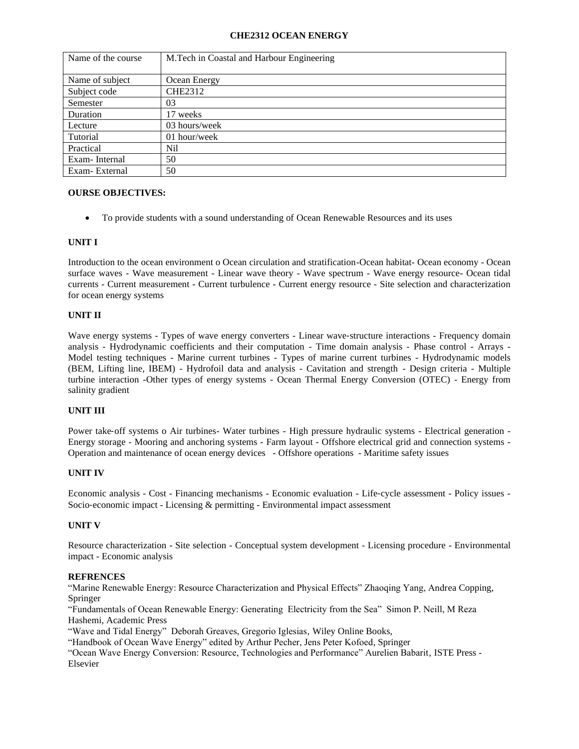## **CHE2312 OCEAN ENERGY**

| Name of the course | M.Tech in Coastal and Harbour Engineering |
|--------------------|-------------------------------------------|
| Name of subject    | Ocean Energy                              |
| Subject code       | CHE2312                                   |
| Semester           | 03                                        |
| Duration           | 17 weeks                                  |
| Lecture            | 03 hours/week                             |
| Tutorial           | 01 hour/week                              |
| Practical          | Nil                                       |
| Exam-Internal      | 50                                        |
| Exam-External      | 50                                        |

### **OURSE OBJECTIVES:**

• To provide students with a sound understanding of Ocean Renewable Resources and its uses

## **UNIT I**

Introduction to the ocean environment o Ocean circulation and stratification-Ocean habitat- Ocean economy - Ocean surface waves - Wave measurement - Linear wave theory - Wave spectrum - Wave energy resource- Ocean tidal currents - Current measurement - Current turbulence - Current energy resource - Site selection and characterization for ocean energy systems

## **UNIT II**

Wave energy systems - Types of wave energy converters - Linear wave-structure interactions - Frequency domain analysis - Hydrodynamic coefficients and their computation - Time domain analysis - Phase control - Arrays - Model testing techniques - Marine current turbines - Types of marine current turbines - Hydrodynamic models (BEM, Lifting line, IBEM) - Hydrofoil data and analysis - Cavitation and strength - Design criteria - Multiple turbine interaction -Other types of energy systems - Ocean Thermal Energy Conversion (OTEC) - Energy from salinity gradient

### **UNIT III**

Power take-off systems o Air turbines- Water turbines - High pressure hydraulic systems - Electrical generation -Energy storage - Mooring and anchoring systems - Farm layout - Offshore electrical grid and connection systems - Operation and maintenance of ocean energy devices - Offshore operations - Maritime safety issues

# **UNIT IV**

Economic analysis - Cost - Financing mechanisms - Economic evaluation - Life‐cycle assessment - Policy issues - Socio‐economic impact - Licensing & permitting - Environmental impact assessment

# **UNIT V**

Resource characterization - Site selection - Conceptual system development - Licensing procedure - Environmental impact - Economic analysis

## **REFRENCES**

"Marine Renewable Energy: Resource Characterization and Physical Effects" Zhaoqing Yang, Andrea Copping, Springer

"Fundamentals of Ocean Renewable Energy: Generating Electricity from the Sea" Simon P. Neill, M Reza Hashemi, Academic Press

"Wave and Tidal Energy" Deborah Greaves, Gregorio Iglesias, Wiley Online Books,

"Handbook of Ocean Wave Energy" edited by Arthur Pecher, Jens Peter Kofoed, Springer

"Ocean Wave Energy Conversion: Resource, Technologies and Performance" Aurelien Babarit, ISTE Press - Elsevier